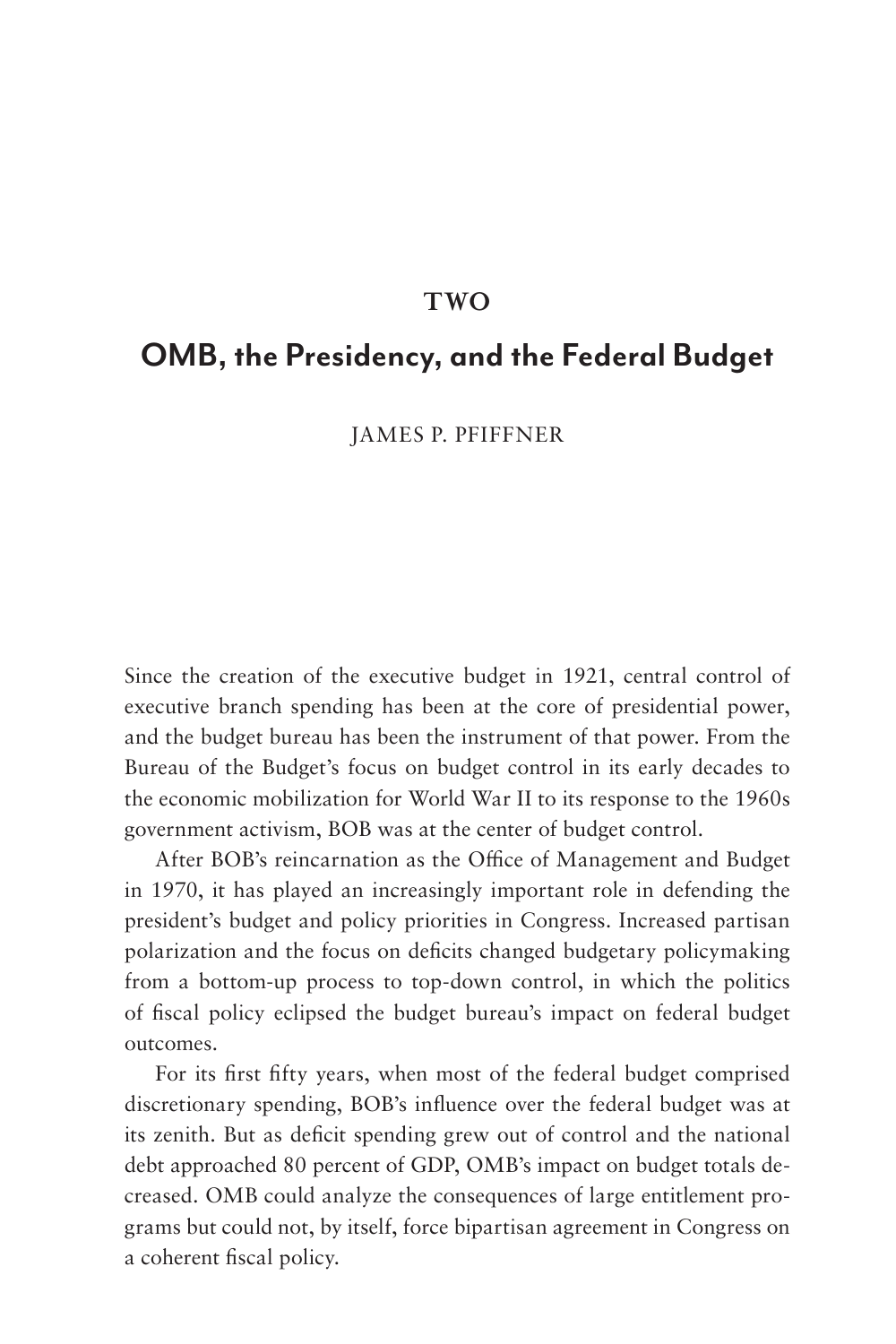### **TWO**

## **OMB, the Presidency, and the Federal Budget**

JAMES P. PFIFFNER

Since the creation of the executive budget in 1921, central control of executive branch spending has been at the core of presidential power, and the budget bureau has been the instrument of that power. From the Bureau of the Budget's focus on budget control in its early decades to the economic mobilization for World War II to its response to the 1960s government activism, BOB was at the center of budget control.

After BOB's reincarnation as the Office of Management and Budget in 1970, it has played an increasingly important role in defending the president's budget and policy priorities in Congress. Increased partisan polarization and the focus on deficits changed budgetary policymaking from a bottom-up process to top-down control, in which the politics of fiscal policy eclipsed the budget bureau's impact on federal budget outcomes.

For its first fifty years, when most of the federal budget comprised discretionary spending, BOB's influence over the federal budget was at its zenith. But as deficit spending grew out of control and the national debt approached 80 percent of GDP, OMB's impact on budget totals decreased. OMB could analyze the consequences of large entitlement programs but could not, by itself, force bipartisan agreement in Congress on a coherent fiscal policy.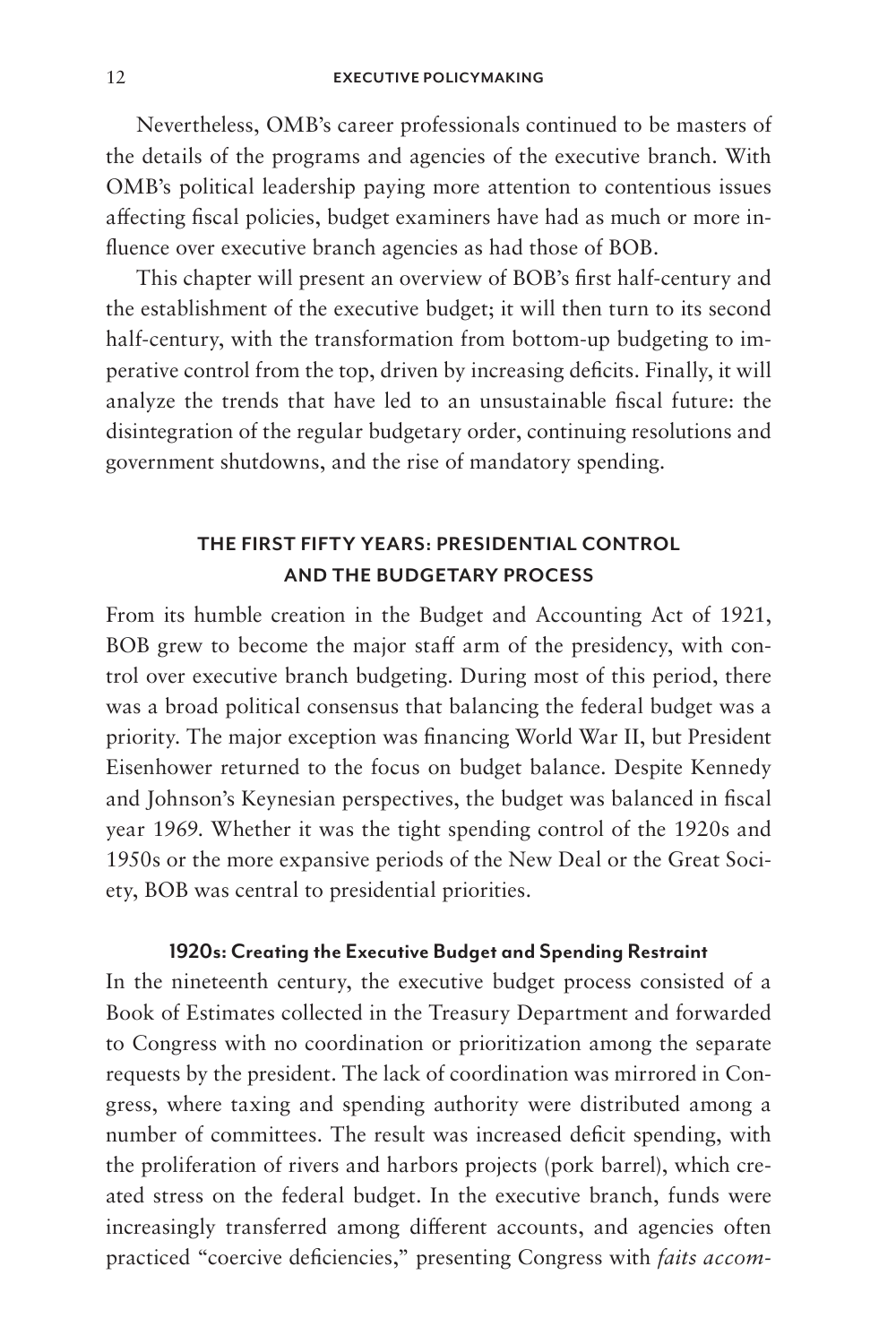Nevertheless, OMB's career professionals continued to be masters of the details of the programs and agencies of the executive branch. With OMB's political leadership paying more attention to contentious issues affecting fiscal policies, budget examiners have had as much or more influence over executive branch agencies as had those of BOB.

This chapter will present an overview of BOB's first half-century and the establishment of the executive budget; it will then turn to its second half-century, with the transformation from bottom-up budgeting to imperative control from the top, driven by increasing deficits. Finally, it will analyze the trends that have led to an unsustainable fiscal future: the disintegration of the regular budgetary order, continuing resolutions and government shutdowns, and the rise of mandatory spending.

### **THE FIRST FIFTY YEARS: PRESIDENTIAL CONTROL AND THE BUDGETARY PROCESS**

From its humble creation in the Budget and Accounting Act of 1921, BOB grew to become the major staff arm of the presidency, with control over executive branch budgeting. During most of this period, there was a broad political consensus that balancing the federal budget was a priority. The major exception was financing World War II, but President Eisenhower returned to the focus on budget balance. Despite Kennedy and Johnson's Keynesian perspectives, the budget was balanced in fiscal year 1969. Whether it was the tight spending control of the 1920s and 1950s or the more expansive periods of the New Deal or the Great Society, BOB was central to presidential priorities.

#### **1920s: Creating the Executive Budget and Spending Restraint**

In the nineteenth century, the executive budget process consisted of a Book of Estimates collected in the Treasury Department and forwarded to Congress with no coordination or prioritization among the separate requests by the president. The lack of coordination was mirrored in Congress, where taxing and spending authority were distributed among a number of committees. The result was increased deficit spending, with the proliferation of rivers and harbors projects (pork barrel), which created stress on the federal budget. In the executive branch, funds were increasingly transferred among different accounts, and agencies often practiced "coercive deficiencies," presenting Congress with *faits accom-*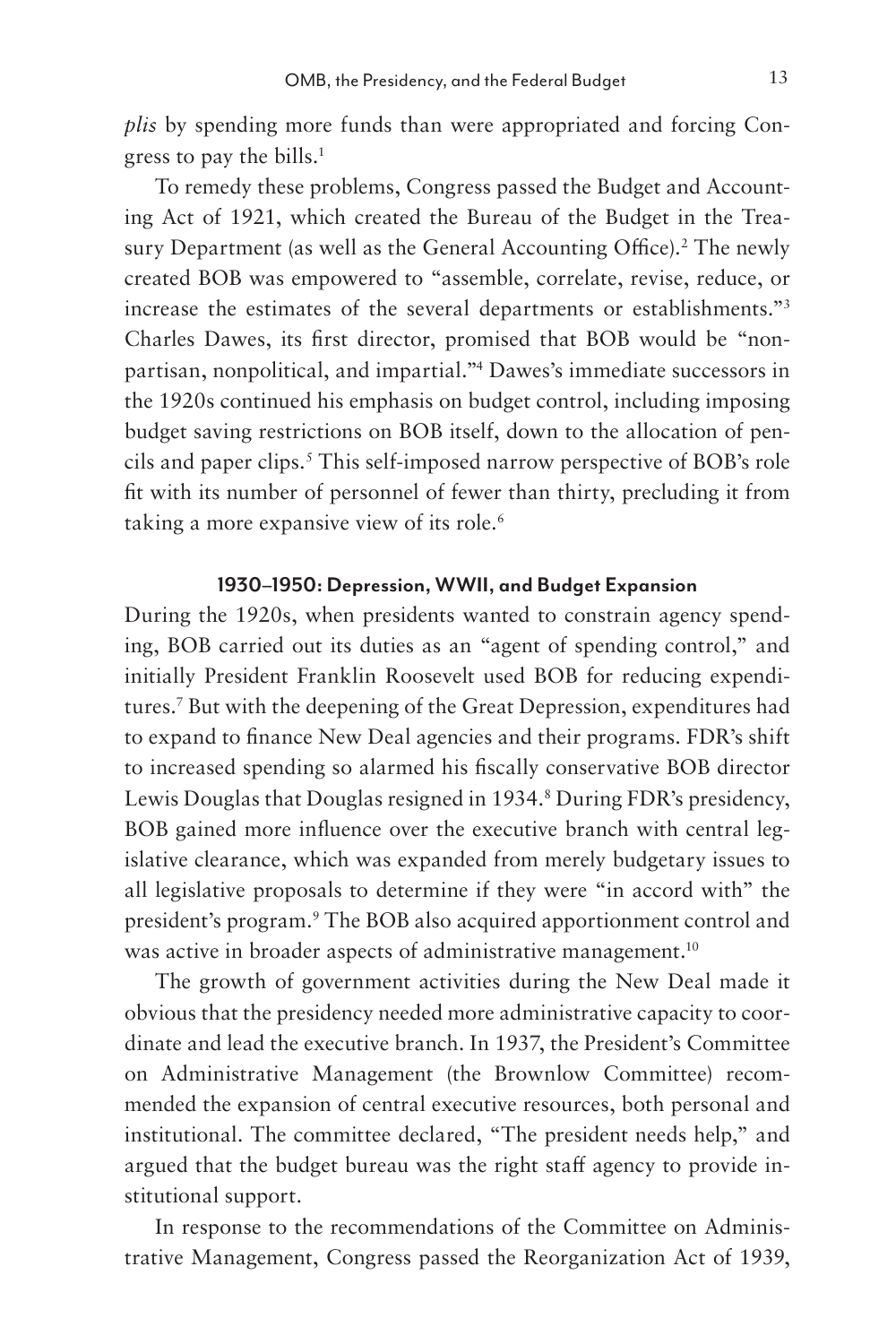*plis* by spending more funds than were appropriated and forcing Congress to pay the bills.<sup>1</sup>

To remedy these problems, Congress passed the Budget and Accounting Act of 1921, which created the Bureau of the Budget in the Treasury Department (as well as the General Accounting Office).<sup>2</sup> The newly created BOB was empowered to "assemble, correlate, revise, reduce, or increase the estimates of the several departments or establishments."3 Charles Dawes, its first director, promised that BOB would be "nonpartisan, nonpolitical, and impartial."4 Dawes's immediate successors in the 1920s continued his emphasis on budget control, including imposing budget saving restrictions on BOB itself, down to the allocation of pencils and paper clips.5 This self-imposed narrow perspective of BOB's role fit with its number of personnel of fewer than thirty, precluding it from taking a more expansive view of its role.<sup>6</sup>

### **1930–1950: Depression, WWII, and Budget Expansion**

During the 1920s, when presidents wanted to constrain agency spending, BOB carried out its duties as an "agent of spending control," and initially President Franklin Roosevelt used BOB for reducing expenditures.7 But with the deepening of the Great Depression, expenditures had to expand to finance New Deal agencies and their programs. FDR's shift to increased spending so alarmed his fiscally conservative BOB director Lewis Douglas that Douglas resigned in 1934.<sup>8</sup> During FDR's presidency, BOB gained more influence over the executive branch with central legislative clearance, which was expanded from merely budgetary issues to all legislative proposals to determine if they were "in accord with" the president's program.<sup>9</sup> The BOB also acquired apportionment control and was active in broader aspects of administrative management.<sup>10</sup>

The growth of government activities during the New Deal made it obvious that the presidency needed more administrative capacity to coordinate and lead the executive branch. In 1937, the President's Committee on Administrative Management (the Brownlow Committee) recommended the expansion of central executive resources, both personal and institutional. The committee declared, "The president needs help," and argued that the budget bureau was the right staff agency to provide institutional support.

In response to the recommendations of the Committee on Administrative Management, Congress passed the Reorganization Act of 1939,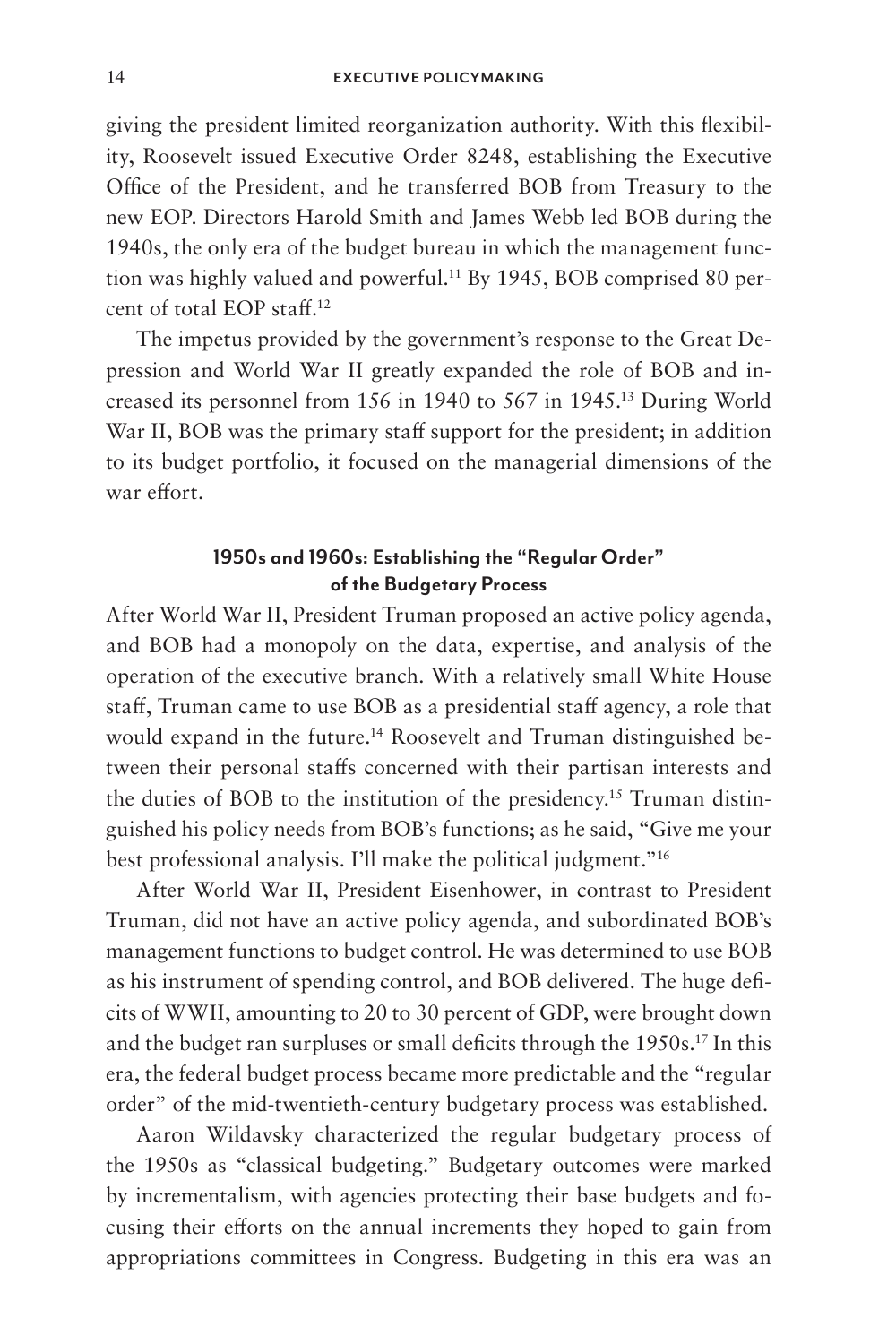giving the president limited reorganization authority. With this flexibility, Roosevelt issued Executive Order 8248, establishing the Executive Office of the President, and he transferred BOB from Treasury to the new EOP. Directors Harold Smith and James Webb led BOB during the 1940s, the only era of the budget bureau in which the management function was highly valued and powerful.11 By 1945, BOB comprised 80 percent of total EOP staff.12

The impetus provided by the government's response to the Great Depression and World War II greatly expanded the role of BOB and increased its personnel from 156 in 1940 to 567 in 1945.13 During World War II, BOB was the primary staff support for the president; in addition to its budget portfolio, it focused on the managerial dimensions of the war effort.

### **1950s and 1960s: Establishing the "Regular Order" of the Budgetary Process**

After World War II, President Truman proposed an active policy agenda, and BOB had a monopoly on the data, expertise, and analysis of the operation of the executive branch. With a relatively small White House staff, Truman came to use BOB as a presidential staff agency, a role that would expand in the future.<sup>14</sup> Roosevelt and Truman distinguished between their personal staffs concerned with their partisan interests and the duties of BOB to the institution of the presidency.15 Truman distinguished his policy needs from BOB's functions; as he said, "Give me your best professional analysis. I'll make the political judgment."16

After World War II, President Eisenhower, in contrast to President Truman, did not have an active policy agenda, and subordinated BOB's management functions to budget control. He was determined to use BOB as his instrument of spending control, and BOB delivered. The huge deficits of WWII, amounting to 20 to 30 percent of GDP, were brought down and the budget ran surpluses or small deficits through the 1950s.17 In this era, the federal budget process became more predictable and the "regular order" of the mid-twentieth-century budgetary process was established.

Aaron Wildavsky characterized the regular budgetary process of the 1950s as "classical budgeting." Budgetary outcomes were marked by incrementalism, with agencies protecting their base budgets and focusing their efforts on the annual increments they hoped to gain from appropriations committees in Congress. Budgeting in this era was an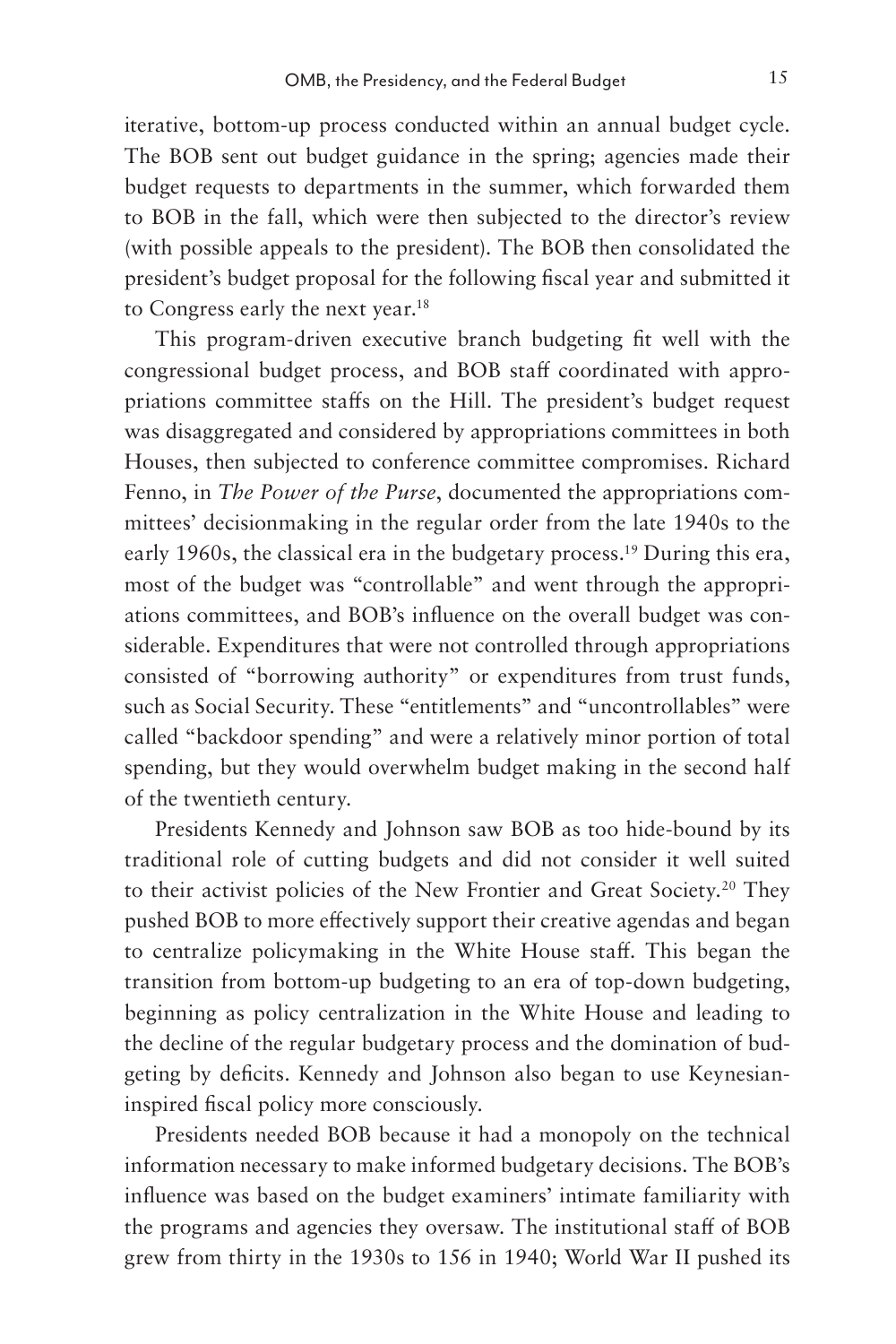iterative, bottom-up process conducted within an annual budget cycle. The BOB sent out budget guidance in the spring; agencies made their budget requests to departments in the summer, which forwarded them to BOB in the fall, which were then subjected to the director's review (with possible appeals to the president). The BOB then consolidated the president's budget proposal for the following fiscal year and submitted it to Congress early the next year.18

This program-driven executive branch budgeting fit well with the congressional budget process, and BOB staff coordinated with appropriations committee staffs on the Hill. The president's budget request was disaggregated and considered by appropriations committees in both Houses, then subjected to conference committee compromises. Richard Fenno, in *The Power of the Purse*, documented the appropriations committees' decisionmaking in the regular order from the late 1940s to the early 1960s, the classical era in the budgetary process.<sup>19</sup> During this era, most of the budget was "controllable" and went through the appropriations committees, and BOB's influence on the overall budget was considerable. Expenditures that were not controlled through appropriations consisted of "borrowing authority" or expenditures from trust funds, such as Social Security. These "entitlements" and "uncontrollables" were called "backdoor spending" and were a relatively minor portion of total spending, but they would overwhelm budget making in the second half of the twentieth century.

Presidents Kennedy and Johnson saw BOB as too hide-bound by its traditional role of cutting budgets and did not consider it well suited to their activist policies of the New Frontier and Great Society.<sup>20</sup> They pushed BOB to more effectively support their creative agendas and began to centralize policymaking in the White House staff. This began the transition from bottom-up budgeting to an era of top-down budgeting, beginning as policy centralization in the White House and leading to the decline of the regular budgetary process and the domination of budgeting by deficits. Kennedy and Johnson also began to use Keynesianinspired fiscal policy more consciously.

Presidents needed BOB because it had a monopoly on the technical information necessary to make informed budgetary decisions. The BOB's influence was based on the budget examiners' intimate familiarity with the programs and agencies they oversaw. The institutional staff of BOB grew from thirty in the 1930s to 156 in 1940; World War II pushed its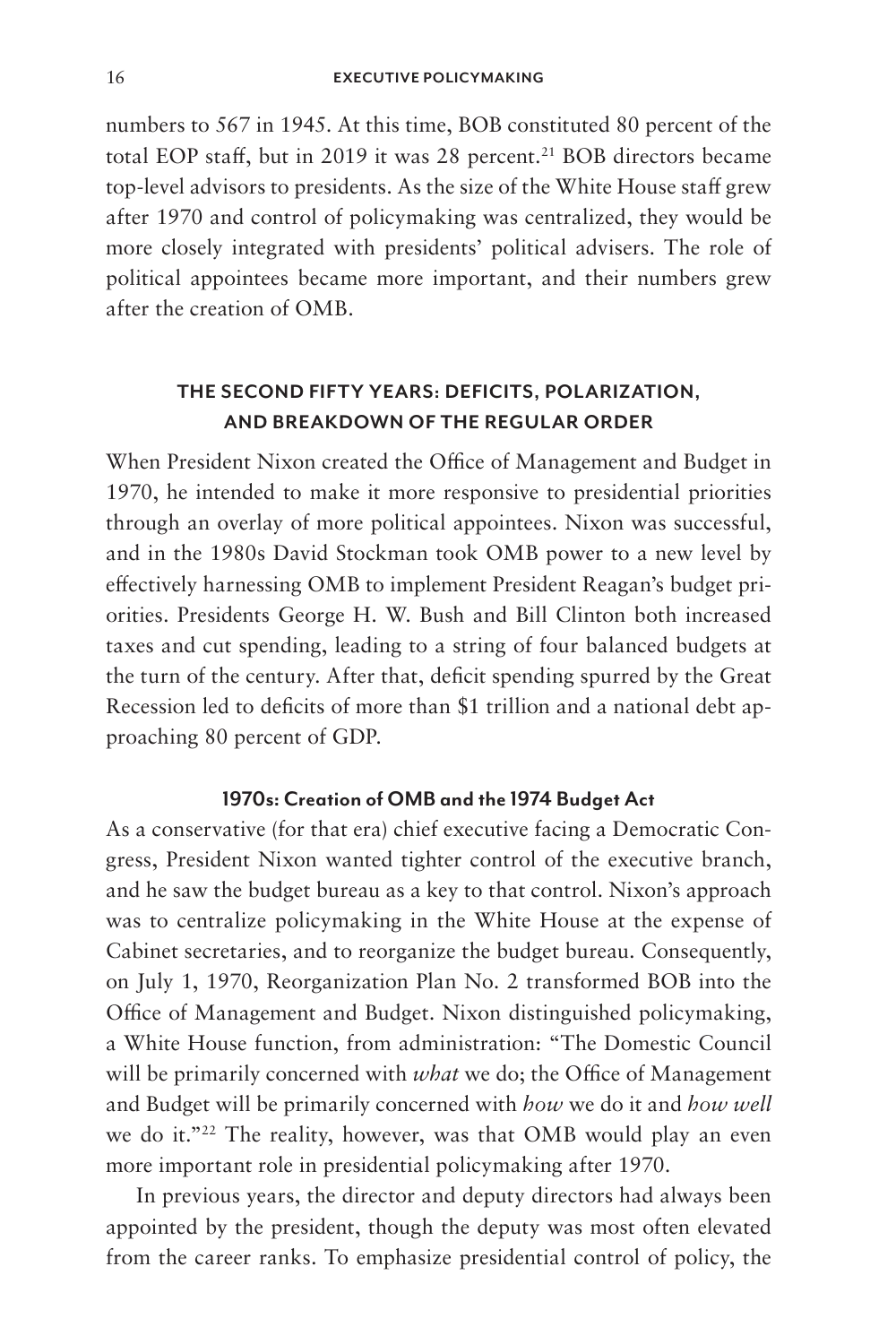numbers to 567 in 1945. At this time, BOB constituted 80 percent of the total EOP staff, but in 2019 it was 28 percent.<sup>21</sup> BOB directors became top-level advisors to presidents. As the size of the White House staff grew after 1970 and control of policymaking was centralized, they would be more closely integrated with presidents' political advisers. The role of political appointees became more important, and their numbers grew after the creation of OMB.

### **THE SECOND FIFTY YEARS: DEFICITS, POLARIZATION, AND BREAKDOWN OF THE REGULAR ORDER**

When President Nixon created the Office of Management and Budget in 1970, he intended to make it more responsive to presidential priorities through an overlay of more political appointees. Nixon was successful, and in the 1980s David Stockman took OMB power to a new level by effectively harnessing OMB to implement President Reagan's budget priorities. Presidents George H. W. Bush and Bill Clinton both increased taxes and cut spending, leading to a string of four balanced budgets at the turn of the century. After that, deficit spending spurred by the Great Recession led to deficits of more than \$1 trillion and a national debt approaching 80 percent of GDP.

### **1970s: Creation of OMB and the 1974 Budget Act**

As a conservative (for that era) chief executive facing a Democratic Congress, President Nixon wanted tighter control of the executive branch, and he saw the budget bureau as a key to that control. Nixon's approach was to centralize policymaking in the White House at the expense of Cabinet secretaries, and to reorganize the budget bureau. Consequently, on July 1, 1970, Reorganization Plan No. 2 transformed BOB into the Office of Management and Budget. Nixon distinguished policymaking, a White House function, from administration: "The Domestic Council will be primarily concerned with *what* we do; the Office of Management and Budget will be primarily concerned with *how* we do it and *how well* we do it."22 The reality, however, was that OMB would play an even more important role in presidential policymaking after 1970.

In previous years, the director and deputy directors had always been appointed by the president, though the deputy was most often elevated from the career ranks. To emphasize presidential control of policy, the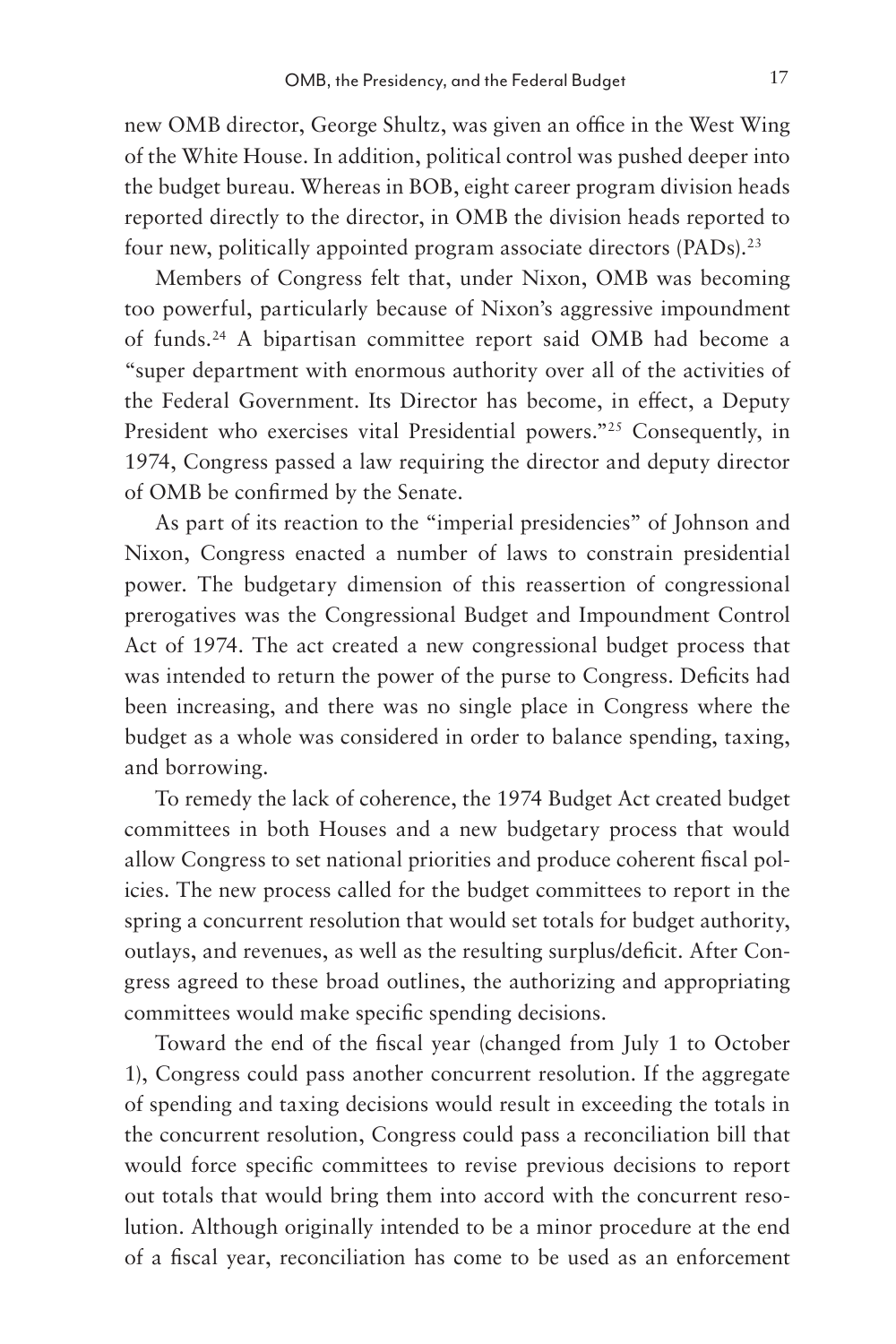new OMB director, George Shultz, was given an office in the West Wing of the White House. In addition, political control was pushed deeper into the budget bureau. Whereas in BOB, eight career program division heads reported directly to the director, in OMB the division heads reported to four new, politically appointed program associate directors (PADs).<sup>23</sup>

Members of Congress felt that, under Nixon, OMB was becoming too powerful, particularly because of Nixon's aggressive impoundment of funds.24 A bipartisan committee report said OMB had become a "super department with enormous authority over all of the activities of the Federal Government. Its Director has become, in effect, a Deputy President who exercises vital Presidential powers."<sup>25</sup> Consequently, in 1974, Congress passed a law requiring the director and deputy director of OMB be confirmed by the Senate.

As part of its reaction to the "imperial presidencies" of Johnson and Nixon, Congress enacted a number of laws to constrain presidential power. The budgetary dimension of this reassertion of congressional prerogatives was the Congressional Budget and Impoundment Control Act of 1974. The act created a new congressional budget process that was intended to return the power of the purse to Congress. Deficits had been increasing, and there was no single place in Congress where the budget as a whole was considered in order to balance spending, taxing, and borrowing.

To remedy the lack of coherence, the 1974 Budget Act created budget committees in both Houses and a new budgetary process that would allow Congress to set national priorities and produce coherent fiscal policies. The new process called for the budget committees to report in the spring a concurrent resolution that would set totals for budget authority, outlays, and revenues, as well as the resulting surplus/deficit. After Congress agreed to these broad outlines, the authorizing and appropriating committees would make specific spending decisions.

Toward the end of the fiscal year (changed from July 1 to October 1), Congress could pass another concurrent resolution. If the aggregate of spending and taxing decisions would result in exceeding the totals in the concurrent resolution, Congress could pass a reconciliation bill that would force specific committees to revise previous decisions to report out totals that would bring them into accord with the concurrent resolution. Although originally intended to be a minor procedure at the end of a fiscal year, reconciliation has come to be used as an enforcement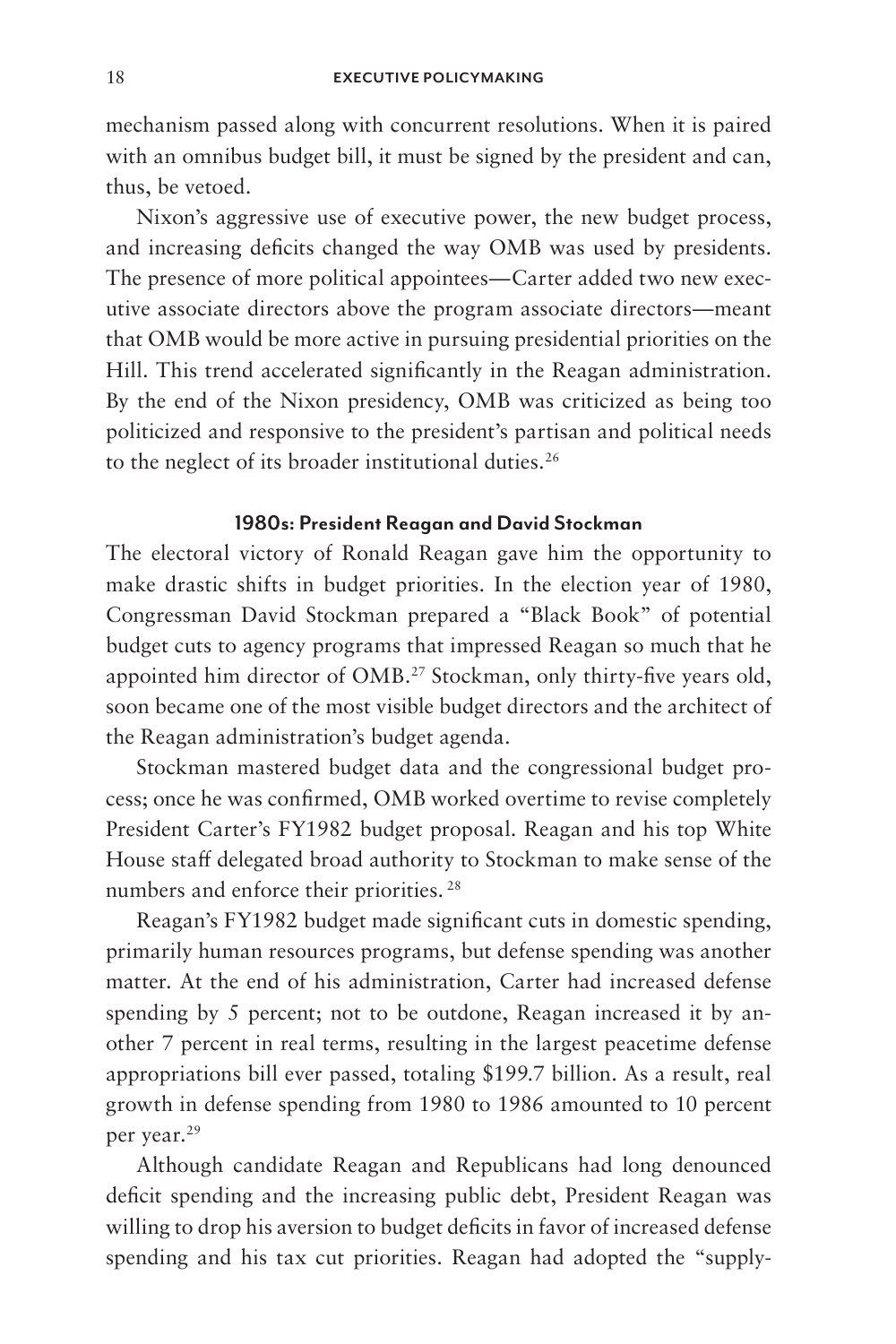mechanism passed along with concurrent resolutions. When it is paired with an omnibus budget bill, it must be signed by the president and can, thus, be vetoed.

Nixon's aggressive use of executive power, the new budget process, and increasing deficits changed the way OMB was used by presidents. The presence of more political appointees—Carter added two new executive associate directors above the program associate directors—meant that OMB would be more active in pursuing presidential priorities on the Hill. This trend accelerated significantly in the Reagan administration. By the end of the Nixon presidency, OMB was criticized as being too politicized and responsive to the president's partisan and political needs to the neglect of its broader institutional duties.<sup>26</sup>

### **1980s: President Reagan and David Stockman**

The electoral victory of Ronald Reagan gave him the opportunity to make drastic shifts in budget priorities. In the election year of 1980, Congressman David Stockman prepared a "Black Book" of potential budget cuts to agency programs that impressed Reagan so much that he appointed him director of OMB.<sup>27</sup> Stockman, only thirty-five years old, soon became one of the most visible budget directors and the architect of the Reagan administration's budget agenda.

Stockman mastered budget data and the congressional budget process; once he was confirmed, OMB worked overtime to revise completely President Carter's FY1982 budget proposal. Reagan and his top White House staff delegated broad authority to Stockman to make sense of the numbers and enforce their priorities.<sup>28</sup>

Reagan's FY1982 budget made significant cuts in domestic spending, primarily human resources programs, but defense spending was another matter. At the end of his administration, Carter had increased defense spending by 5 percent; not to be outdone, Reagan increased it by another 7 percent in real terms, resulting in the largest peacetime defense appropriations bill ever passed, totaling \$199.7 billion. As a result, real growth in defense spending from 1980 to 1986 amounted to 10 percent per year.29

Although candidate Reagan and Republicans had long denounced deficit spending and the increasing public debt, President Reagan was willing to drop his aversion to budget deficits in favor of increased defense spending and his tax cut priorities. Reagan had adopted the "supply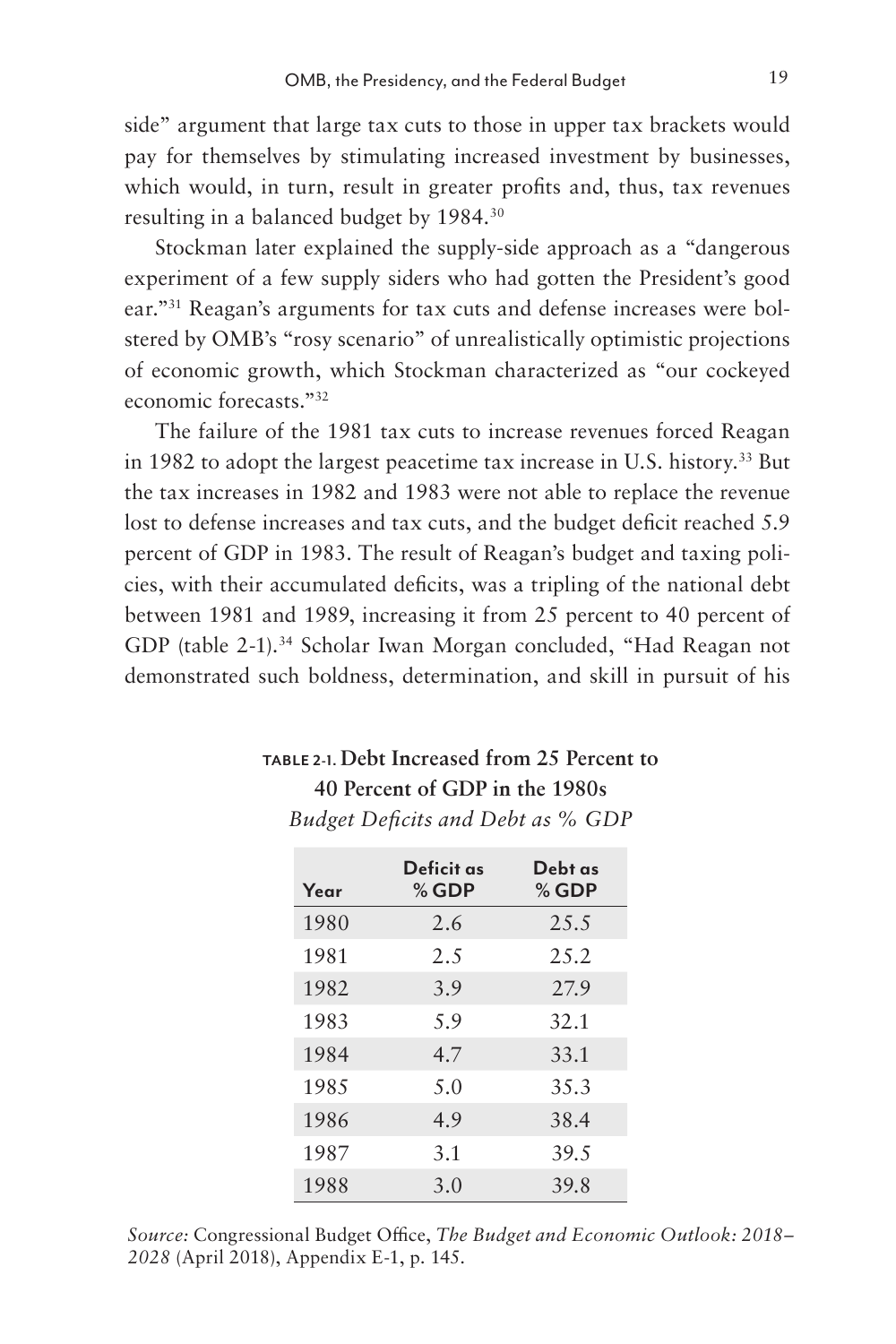side" argument that large tax cuts to those in upper tax brackets would pay for themselves by stimulating increased investment by businesses, which would, in turn, result in greater profits and, thus, tax revenues resulting in a balanced budget by 1984.30

Stockman later explained the supply-side approach as a "dangerous experiment of a few supply siders who had gotten the President's good ear."31 Reagan's arguments for tax cuts and defense increases were bolstered by OMB's "rosy scenario" of unrealistically optimistic projections of economic growth, which Stockman characterized as "our cockeyed economic forecasts."32

The failure of the 1981 tax cuts to increase revenues forced Reagan in 1982 to adopt the largest peacetime tax increase in U.S. history.33 But the tax increases in 1982 and 1983 were not able to replace the revenue lost to defense increases and tax cuts, and the budget deficit reached 5.9 percent of GDP in 1983. The result of Reagan's budget and taxing policies, with their accumulated deficits, was a tripling of the national debt between 1981 and 1989, increasing it from 25 percent to 40 percent of GDP (table 2-1).<sup>34</sup> Scholar Iwan Morgan concluded, "Had Reagan not demonstrated such boldness, determination, and skill in pursuit of his

# **TABLE 2-1. Debt Increased from 25 Percent to 40 Percent of GDP in the 1980s**

| Budget Deficits and Debt as % GDP |
|-----------------------------------|
|-----------------------------------|

| Year | Deficit as<br>$%$ GDP | Debt as<br>$%$ GDP |
|------|-----------------------|--------------------|
| 1980 | 2.6                   | 25.5               |
| 1981 | 2.5                   | 2.5.2              |
| 1982 | 3.9                   | 27.9               |
| 1983 | 5.9                   | 32.1               |
| 1984 | 4.7                   | 33.1               |
| 1985 | 5.0                   | 35.3               |
| 1986 | 4.9                   | 38.4               |
| 1987 | 3.1                   | 39.5               |
| 1988 | 3.0                   | 39.8               |

*Source:* Congressional Budget Office, *The Budget and Economic Outlook: 2018– 2028* (April 2018), Appendix E-1, p. 145.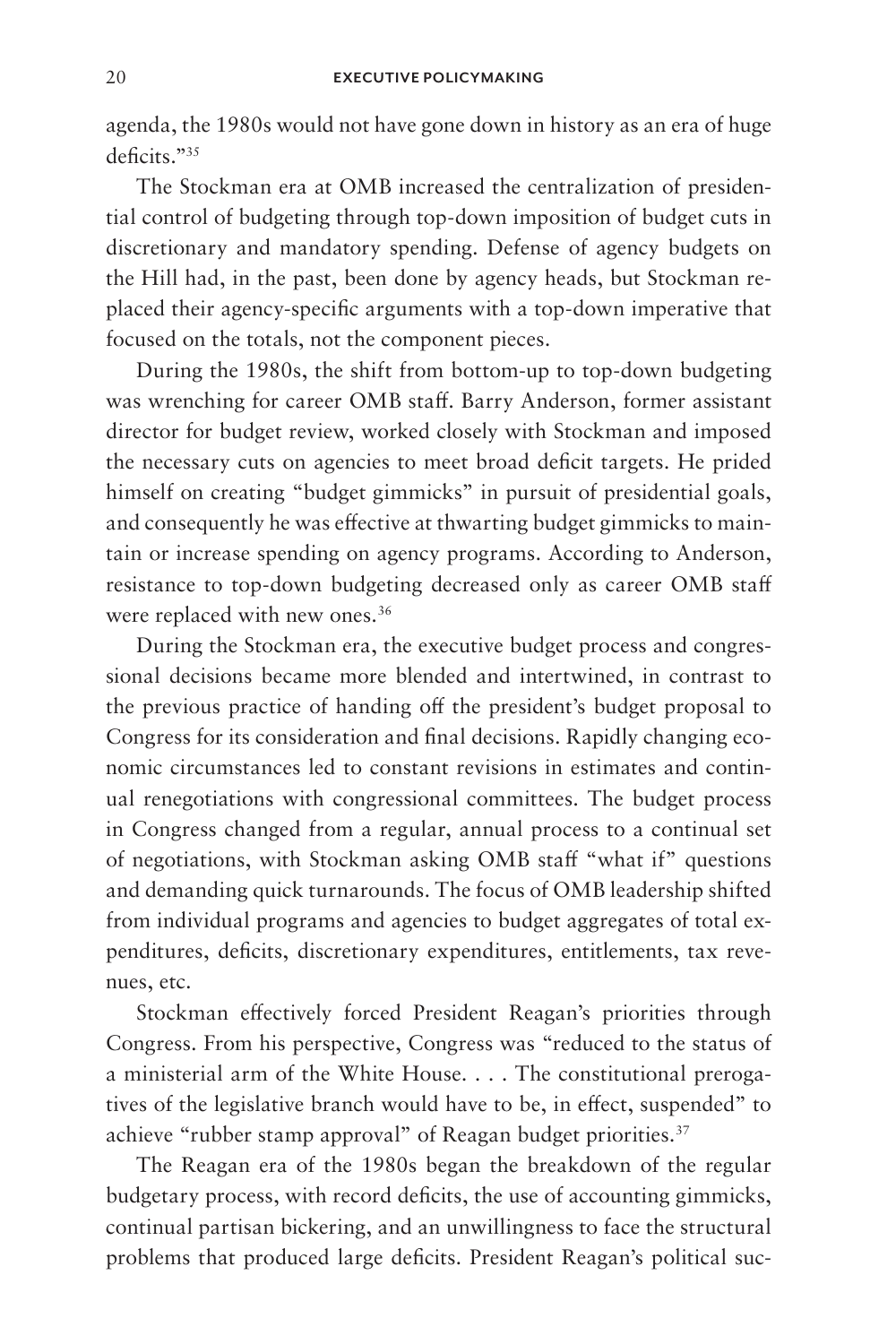agenda, the 1980s would not have gone down in history as an era of huge deficits."<sup>35</sup>

The Stockman era at OMB increased the centralization of presidential control of budgeting through top-down imposition of budget cuts in discretionary and mandatory spending. Defense of agency budgets on the Hill had, in the past, been done by agency heads, but Stockman replaced their agency-specific arguments with a top-down imperative that focused on the totals, not the component pieces.

During the 1980s, the shift from bottom-up to top-down budgeting was wrenching for career OMB staff. Barry Anderson, former assistant director for budget review, worked closely with Stockman and imposed the necessary cuts on agencies to meet broad deficit targets. He prided himself on creating "budget gimmicks" in pursuit of presidential goals, and consequently he was effective at thwarting budget gimmicks to maintain or increase spending on agency programs. According to Anderson, resistance to top-down budgeting decreased only as career OMB staff were replaced with new ones.<sup>36</sup>

During the Stockman era, the executive budget process and congressional decisions became more blended and intertwined, in contrast to the previous practice of handing off the president's budget proposal to Congress for its consideration and final decisions. Rapidly changing economic circumstances led to constant revisions in estimates and continual renegotiations with congressional committees. The budget process in Congress changed from a regular, annual process to a continual set of negotiations, with Stockman asking OMB staff "what if" questions and demanding quick turnarounds. The focus of OMB leadership shifted from individual programs and agencies to budget aggregates of total expenditures, deficits, discretionary expenditures, entitlements, tax revenues, etc.

Stockman effectively forced President Reagan's priorities through Congress. From his perspective, Congress was "reduced to the status of a ministerial arm of the White House. . . . The constitutional prerogatives of the legislative branch would have to be, in effect, suspended" to achieve "rubber stamp approval" of Reagan budget priorities.<sup>37</sup>

The Reagan era of the 1980s began the breakdown of the regular budgetary process, with record deficits, the use of accounting gimmicks, continual partisan bickering, and an unwillingness to face the structural problems that produced large deficits. President Reagan's political suc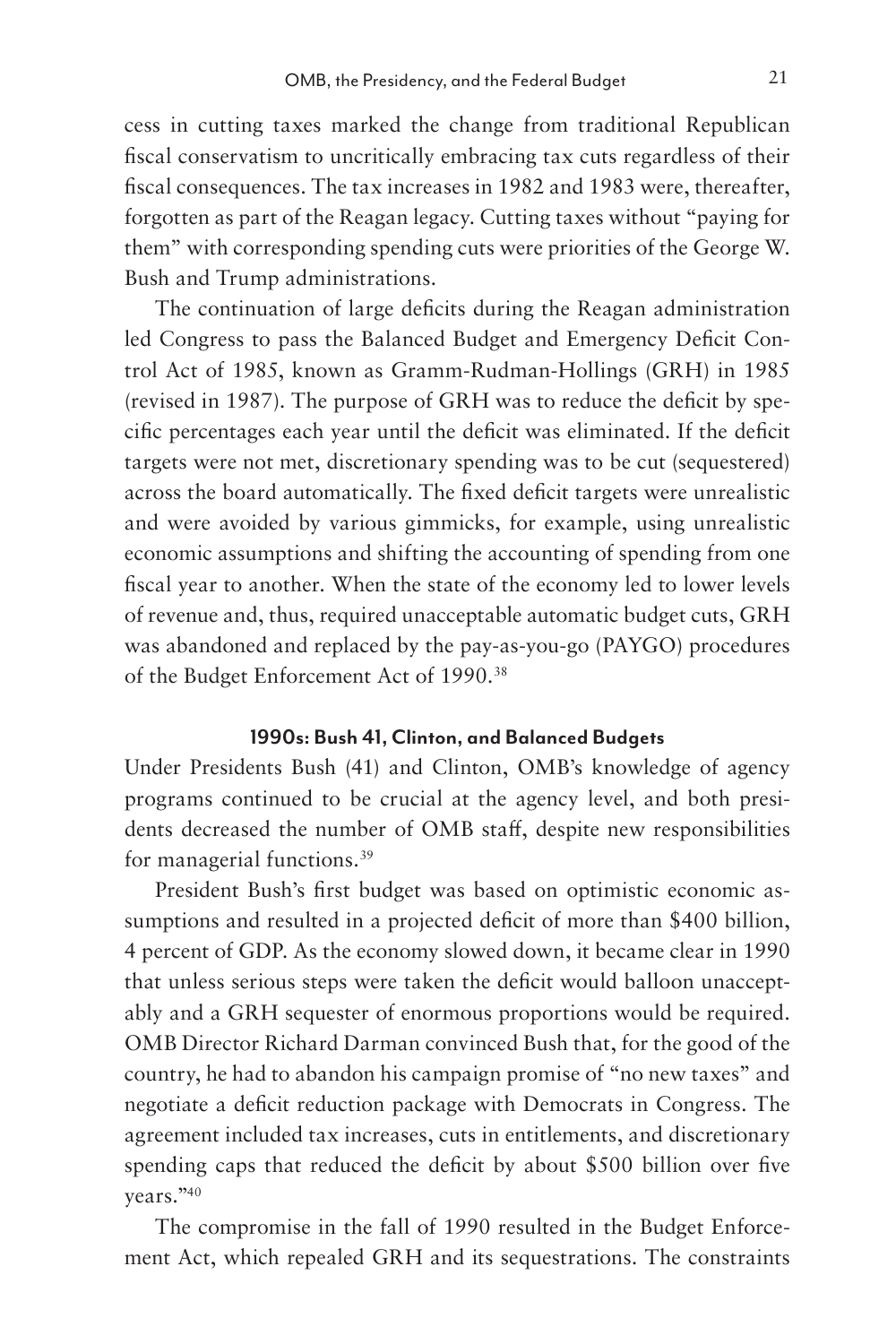cess in cutting taxes marked the change from traditional Republican fiscal conservatism to uncritically embracing tax cuts regardless of their fiscal consequences. The tax increases in 1982 and 1983 were, thereafter, forgotten as part of the Reagan legacy. Cutting taxes without "paying for them" with corresponding spending cuts were priorities of the George W. Bush and Trump administrations.

The continuation of large deficits during the Reagan administration led Congress to pass the Balanced Budget and Emergency Deficit Control Act of 1985, known as Gramm-Rudman-Hollings (GRH) in 1985 (revised in 1987). The purpose of GRH was to reduce the deficit by specific percentages each year until the deficit was eliminated. If the deficit targets were not met, discretionary spending was to be cut (sequestered) across the board automatically. The fixed deficit targets were unrealistic and were avoided by various gimmicks, for example, using unrealistic economic assumptions and shifting the accounting of spending from one fiscal year to another. When the state of the economy led to lower levels of revenue and, thus, required unacceptable automatic budget cuts, GRH was abandoned and replaced by the pay-as-you-go (PAYGO) procedures of the Budget Enforcement Act of 1990.38

### **1990s: Bush 41, Clinton, and Balanced Budgets**

Under Presidents Bush (41) and Clinton, OMB's knowledge of agency programs continued to be crucial at the agency level, and both presidents decreased the number of OMB staff, despite new responsibilities for managerial functions.39

President Bush's first budget was based on optimistic economic assumptions and resulted in a projected deficit of more than \$400 billion, 4 percent of GDP. As the economy slowed down, it became clear in 1990 that unless serious steps were taken the deficit would balloon unacceptably and a GRH sequester of enormous proportions would be required. OMB Director Richard Darman convinced Bush that, for the good of the country, he had to abandon his campaign promise of "no new taxes" and negotiate a deficit reduction package with Democrats in Congress. The agreement included tax increases, cuts in entitlements, and discretionary spending caps that reduced the deficit by about \$500 billion over five years."40

The compromise in the fall of 1990 resulted in the Budget Enforcement Act, which repealed GRH and its sequestrations. The constraints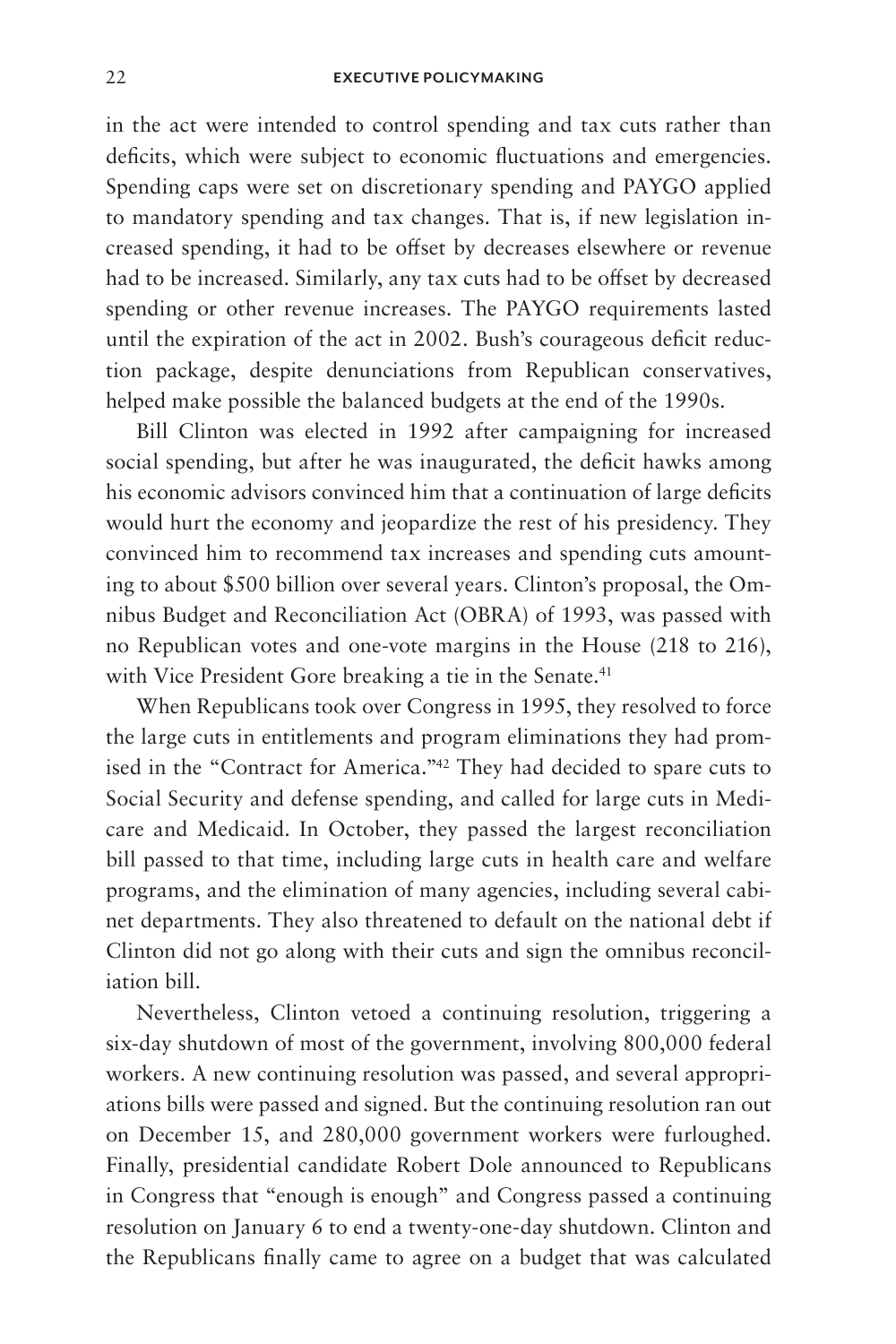#### 22 **EXECUTIVE POLICYMAKING**

in the act were intended to control spending and tax cuts rather than deficits, which were subject to economic fluctuations and emergencies. Spending caps were set on discretionary spending and PAYGO applied to mandatory spending and tax changes. That is, if new legislation increased spending, it had to be offset by decreases elsewhere or revenue had to be increased. Similarly, any tax cuts had to be offset by decreased spending or other revenue increases. The PAYGO requirements lasted until the expiration of the act in 2002. Bush's courageous deficit reduction package, despite denunciations from Republican conservatives, helped make possible the balanced budgets at the end of the 1990s.

Bill Clinton was elected in 1992 after campaigning for increased social spending, but after he was inaugurated, the deficit hawks among his economic advisors convinced him that a continuation of large deficits would hurt the economy and jeopardize the rest of his presidency. They convinced him to recommend tax increases and spending cuts amounting to about \$500 billion over several years. Clinton's proposal, the Omnibus Budget and Reconciliation Act (OBRA) of 1993, was passed with no Republican votes and one-vote margins in the House (218 to 216), with Vice President Gore breaking a tie in the Senate.<sup>41</sup>

When Republicans took over Congress in 1995, they resolved to force the large cuts in entitlements and program eliminations they had promised in the "Contract for America."42 They had decided to spare cuts to Social Security and defense spending, and called for large cuts in Medicare and Medicaid. In October, they passed the largest reconciliation bill passed to that time, including large cuts in health care and welfare programs, and the elimination of many agencies, including several cabinet departments. They also threatened to default on the national debt if Clinton did not go along with their cuts and sign the omnibus reconciliation bill.

Nevertheless, Clinton vetoed a continuing resolution, triggering a six-day shutdown of most of the government, involving 800,000 federal workers. A new continuing resolution was passed, and several appropriations bills were passed and signed. But the continuing resolution ran out on December 15, and 280,000 government workers were furloughed. Finally, presidential candidate Robert Dole announced to Republicans in Congress that "enough is enough" and Congress passed a continuing resolution on January 6 to end a twenty-one-day shutdown. Clinton and the Republicans finally came to agree on a budget that was calculated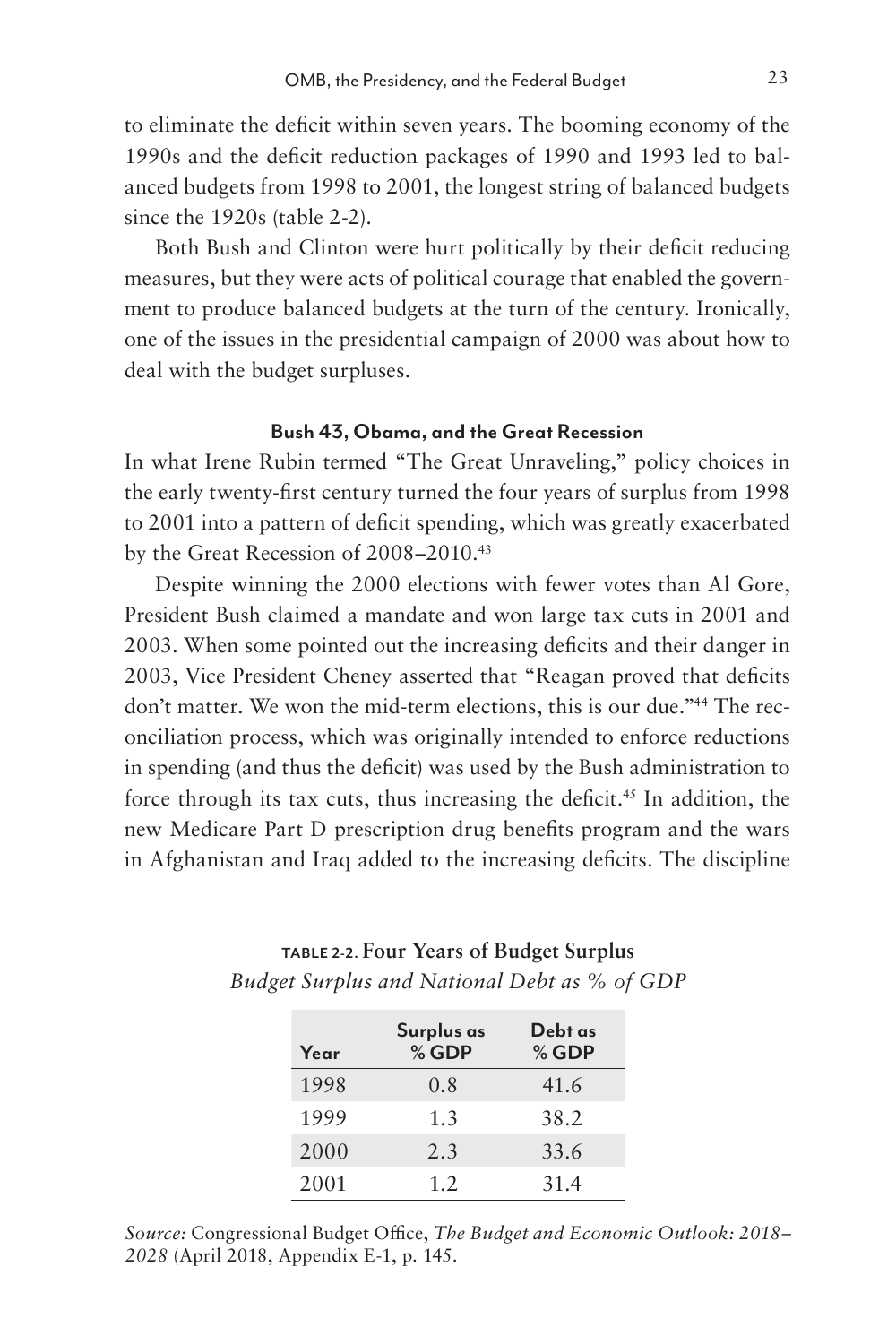to eliminate the deficit within seven years. The booming economy of the 1990s and the deficit reduction packages of 1990 and 1993 led to balanced budgets from 1998 to 2001, the longest string of balanced budgets since the 1920s (table 2-2).

Both Bush and Clinton were hurt politically by their deficit reducing measures, but they were acts of political courage that enabled the government to produce balanced budgets at the turn of the century. Ironically, one of the issues in the presidential campaign of 2000 was about how to deal with the budget surpluses.

### **Bush 43, Obama, and the Great Recession**

In what Irene Rubin termed "The Great Unraveling," policy choices in the early twenty-first century turned the four years of surplus from 1998 to 2001 into a pattern of deficit spending, which was greatly exacerbated by the Great Recession of 2008–2010.43

Despite winning the 2000 elections with fewer votes than Al Gore, President Bush claimed a mandate and won large tax cuts in 2001 and 2003. When some pointed out the increasing deficits and their danger in 2003, Vice President Cheney asserted that "Reagan proved that deficits don't matter. We won the mid-term elections, this is our due."44 The reconciliation process, which was originally intended to enforce reductions in spending (and thus the deficit) was used by the Bush administration to force through its tax cuts, thus increasing the deficit.<sup>45</sup> In addition, the new Medicare Part D prescription drug benefits program and the wars in Afghanistan and Iraq added to the increasing deficits. The discipline

| Year | Surplus as<br>$%$ GDP | Debt as<br>$%$ GDP |
|------|-----------------------|--------------------|
| 1998 | 0.8                   | 41.6               |
| 1999 | 1.3                   | 38.2               |
| 2000 | 2.3                   | 33.6               |
| 2001 | 1.2                   | 31.4               |

### **TABLE 2-2. Four Years of Budget Surplus** *Budget Surplus and National Debt as % of GDP*

*Source:* Congressional Budget Office, *The Budget and Economic Outlook: 2018– 2028* (April 2018, Appendix E-1, p. 145.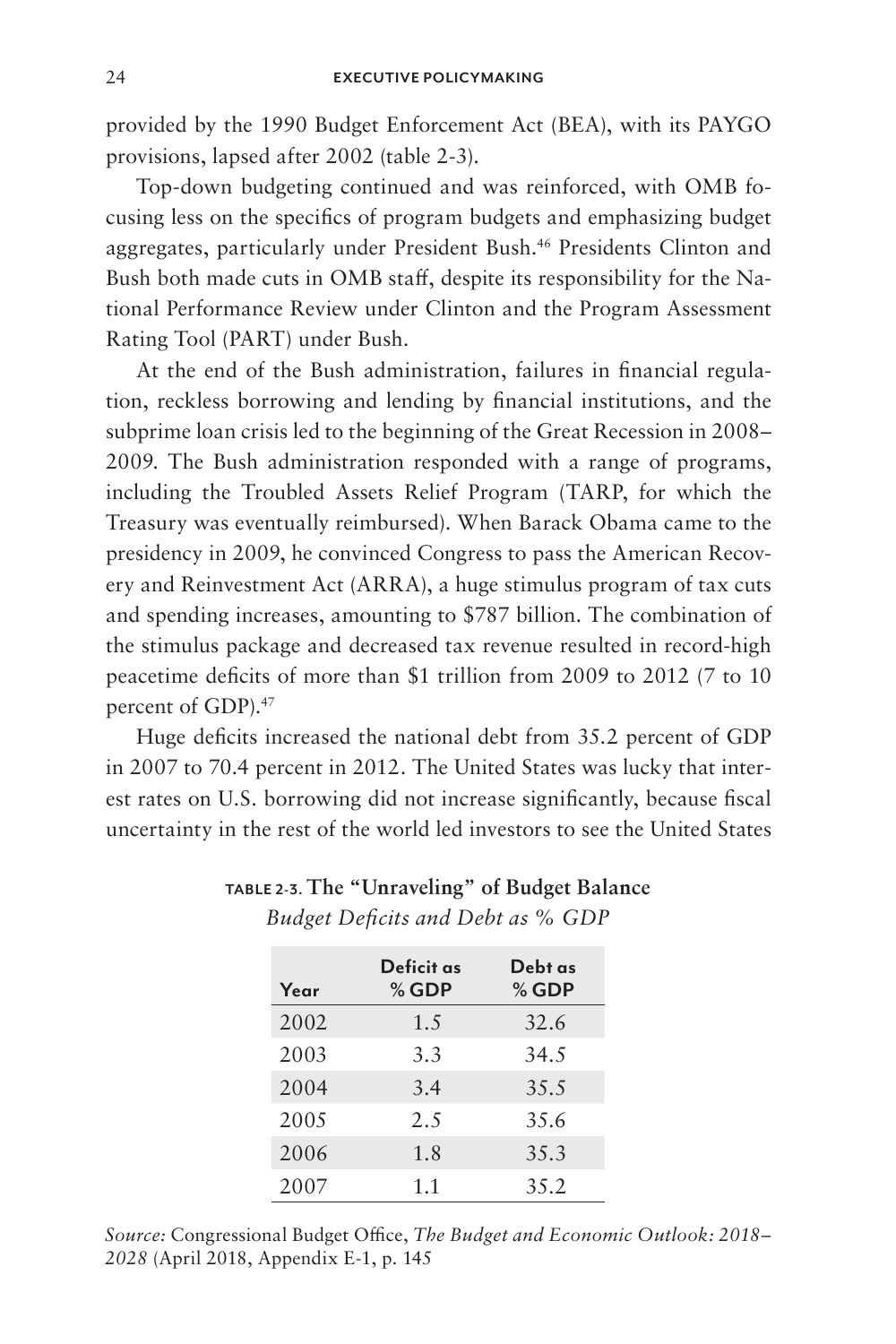provided by the 1990 Budget Enforcement Act (BEA), with its PAYGO provisions, lapsed after 2002 (table 2-3).

Top-down budgeting continued and was reinforced, with OMB focusing less on the specifics of program budgets and emphasizing budget aggregates, particularly under President Bush.46 Presidents Clinton and Bush both made cuts in OMB staff, despite its responsibility for the National Performance Review under Clinton and the Program Assessment Rating Tool (PART) under Bush.

At the end of the Bush administration, failures in financial regulation, reckless borrowing and lending by financial institutions, and the subprime loan crisis led to the beginning of the Great Recession in 2008– 2009. The Bush administration responded with a range of programs, including the Troubled Assets Relief Program (TARP, for which the Treasury was eventually reimbursed). When Barack Obama came to the presidency in 2009, he convinced Congress to pass the American Recovery and Reinvestment Act (ARRA), a huge stimulus program of tax cuts and spending increases, amounting to \$787 billion. The combination of the stimulus package and decreased tax revenue resulted in record-high peacetime deficits of more than \$1 trillion from 2009 to 2012 (7 to 10 percent of GDP).<sup>47</sup>

Huge deficits increased the national debt from 35.2 percent of GDP in 2007 to 70.4 percent in 2012. The United States was lucky that interest rates on U.S. borrowing did not increase significantly, because fiscal uncertainty in the rest of the world led investors to see the United States

| Year | Deficit as<br>$%$ GDP | Debt as<br>$%$ GDP |
|------|-----------------------|--------------------|
| 2002 | 1.5                   | 32.6               |
| 2003 | 3.3                   | 34.5               |
| 2004 | 3.4                   | 35.5               |
| 2005 | 2.5                   | 35.6               |
| 2006 | 1.8                   | 35.3               |
| 2007 | 1.1                   | 3.5.2              |

### **TABLE 2-3. The "Unraveling" of Budget Balance** *Budget Deficits and Debt as % GDP*

*Source:* Congressional Budget Office, *The Budget and Economic Outlook: 2018– 2028* (April 2018, Appendix E-1, p. 145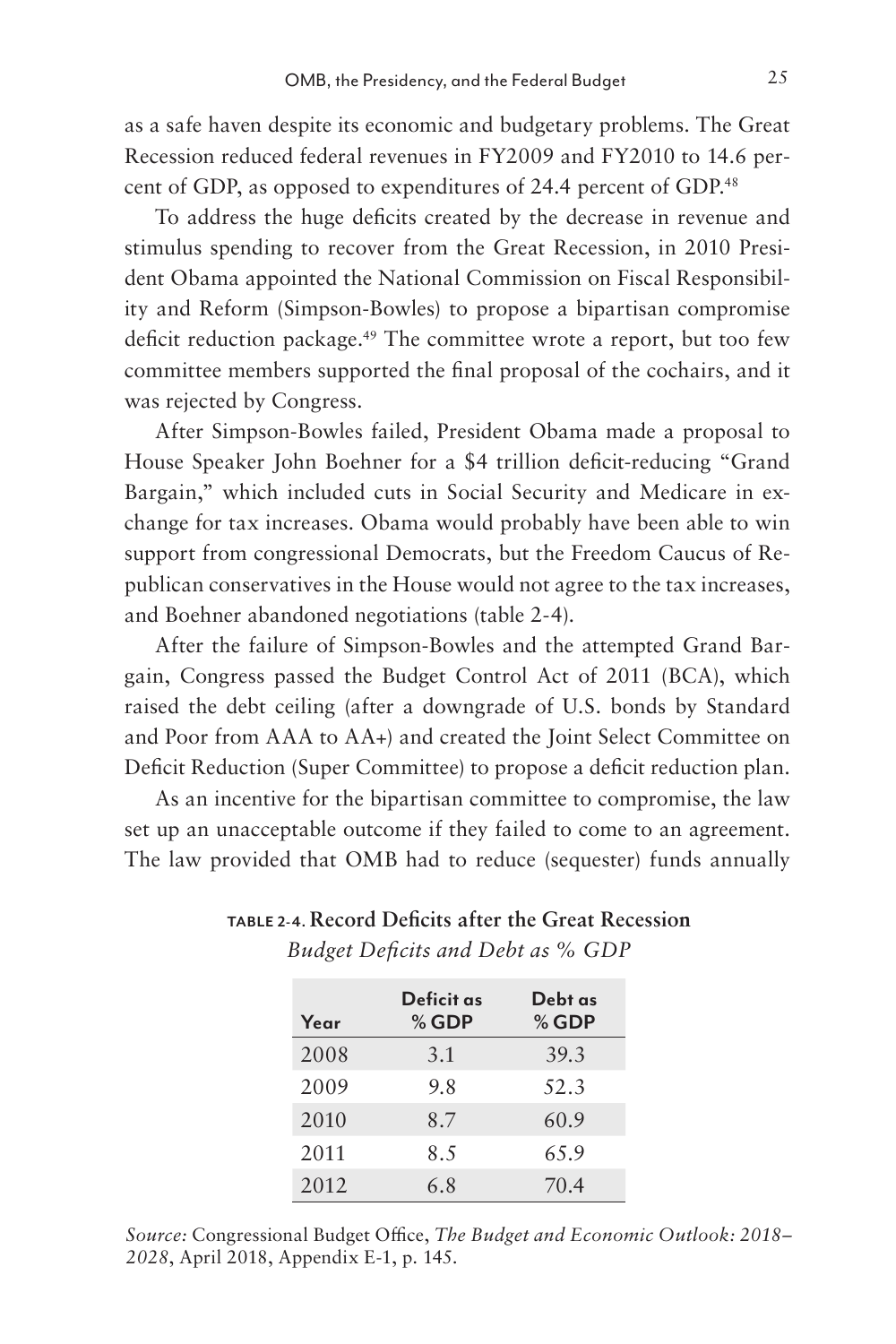as a safe haven despite its economic and budgetary problems. The Great Recession reduced federal revenues in FY2009 and FY2010 to 14.6 percent of GDP, as opposed to expenditures of 24.4 percent of GDP.48

To address the huge deficits created by the decrease in revenue and stimulus spending to recover from the Great Recession, in 2010 President Obama appointed the National Commission on Fiscal Responsibility and Reform (Simpson-Bowles) to propose a bipartisan compromise deficit reduction package.49 The committee wrote a report, but too few committee members supported the final proposal of the cochairs, and it was rejected by Congress.

After Simpson-Bowles failed, President Obama made a proposal to House Speaker John Boehner for a \$4 trillion deficit-reducing "Grand Bargain," which included cuts in Social Security and Medicare in exchange for tax increases. Obama would probably have been able to win support from congressional Democrats, but the Freedom Caucus of Republican conservatives in the House would not agree to the tax increases, and Boehner abandoned negotiations (table 2-4).

After the failure of Simpson-Bowles and the attempted Grand Bargain, Congress passed the Budget Control Act of 2011 (BCA), which raised the debt ceiling (after a downgrade of U.S. bonds by Standard and Poor from AAA to AA+) and created the Joint Select Committee on Deficit Reduction (Super Committee) to propose a deficit reduction plan.

As an incentive for the bipartisan committee to compromise, the law set up an unacceptable outcome if they failed to come to an agreement. The law provided that OMB had to reduce (sequester) funds annually

| Year | Deficit as<br>$%$ GDP | Debt as<br>$%$ GDP |
|------|-----------------------|--------------------|
| 2008 | 3.1                   | 39.3               |
| 2009 | 9.8                   | 52.3               |
| 2010 | 8.7                   | 60.9               |
| 2011 | 8.5                   | 65.9               |
| 2012 | 6.8                   | 70.4               |

### **TABLE 2-4. Record Deficits after the Great Recession** *Budget Deficits and Debt as % GDP*

*Source:* Congressional Budget Office, *The Budget and Economic Outlook: 2018– 2028*, April 2018, Appendix E-1, p. 145.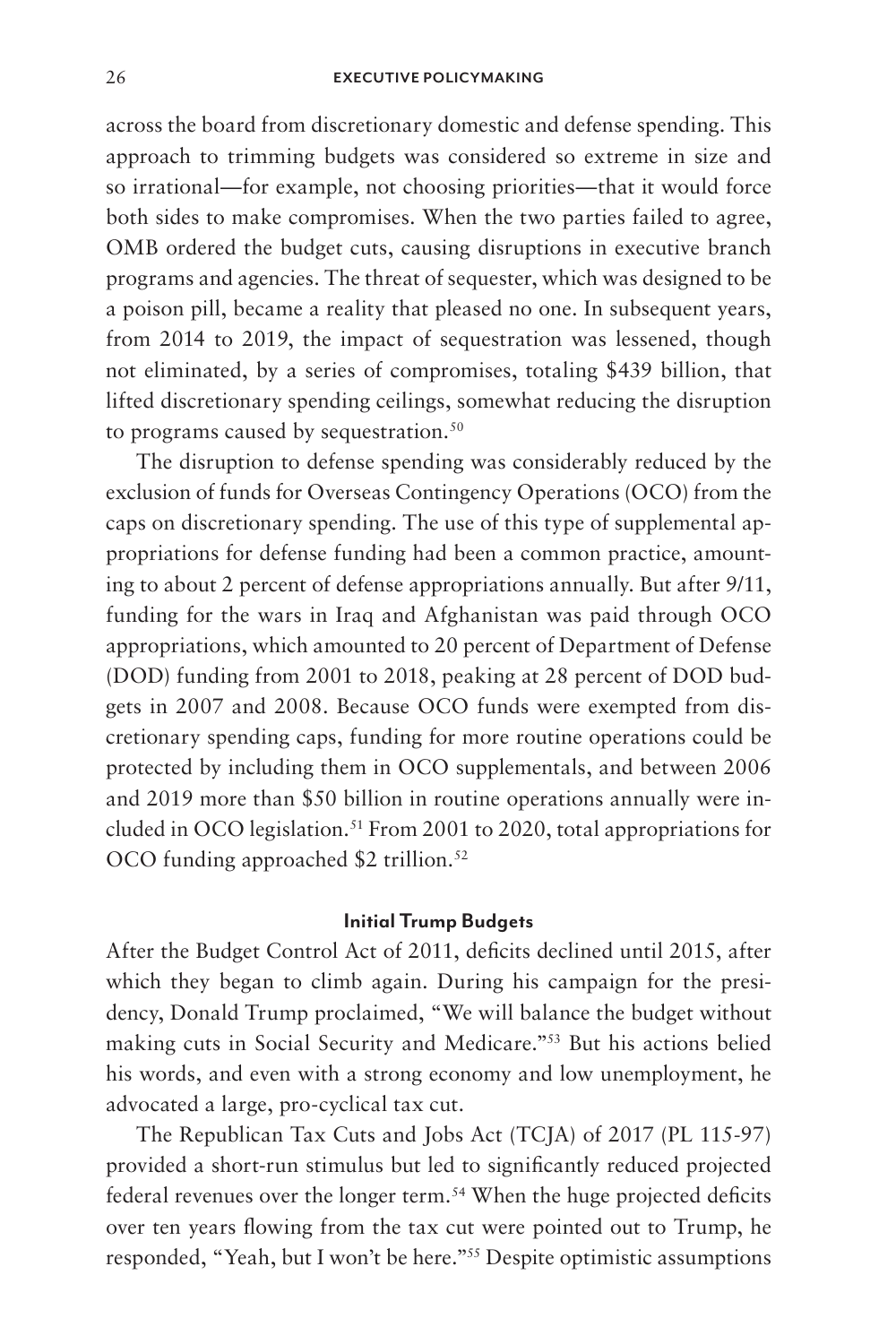across the board from discretionary domestic and defense spending. This approach to trimming budgets was considered so extreme in size and so irrational—for example, not choosing priorities—that it would force both sides to make compromises. When the two parties failed to agree, OMB ordered the budget cuts, causing disruptions in executive branch programs and agencies. The threat of sequester, which was designed to be a poison pill, became a reality that pleased no one. In subsequent years, from 2014 to 2019, the impact of sequestration was lessened, though not eliminated, by a series of compromises, totaling \$439 billion, that lifted discretionary spending ceilings, somewhat reducing the disruption to programs caused by sequestration.<sup>50</sup>

The disruption to defense spending was considerably reduced by the exclusion of funds for Overseas Contingency Operations (OCO) from the caps on discretionary spending. The use of this type of supplemental appropriations for defense funding had been a common practice, amounting to about 2 percent of defense appropriations annually. But after 9/11, funding for the wars in Iraq and Afghanistan was paid through OCO appropriations, which amounted to 20 percent of Department of Defense (DOD) funding from 2001 to 2018, peaking at 28 percent of DOD budgets in 2007 and 2008. Because OCO funds were exempted from discretionary spending caps, funding for more routine operations could be protected by including them in OCO supplementals, and between 2006 and 2019 more than \$50 billion in routine operations annually were included in OCO legislation.<sup>51</sup> From 2001 to 2020, total appropriations for OCO funding approached \$2 trillion.<sup>52</sup>

### **Initial Trump Budgets**

After the Budget Control Act of 2011, deficits declined until 2015, after which they began to climb again. During his campaign for the presidency, Donald Trump proclaimed, "We will balance the budget without making cuts in Social Security and Medicare."53 But his actions belied his words, and even with a strong economy and low unemployment, he advocated a large, pro-cyclical tax cut.

The Republican Tax Cuts and Jobs Act (TCJA) of 2017 (PL 115-97) provided a short-run stimulus but led to significantly reduced projected federal revenues over the longer term.<sup>54</sup> When the huge projected deficits over ten years flowing from the tax cut were pointed out to Trump, he responded, "Yeah, but I won't be here."55 Despite optimistic assumptions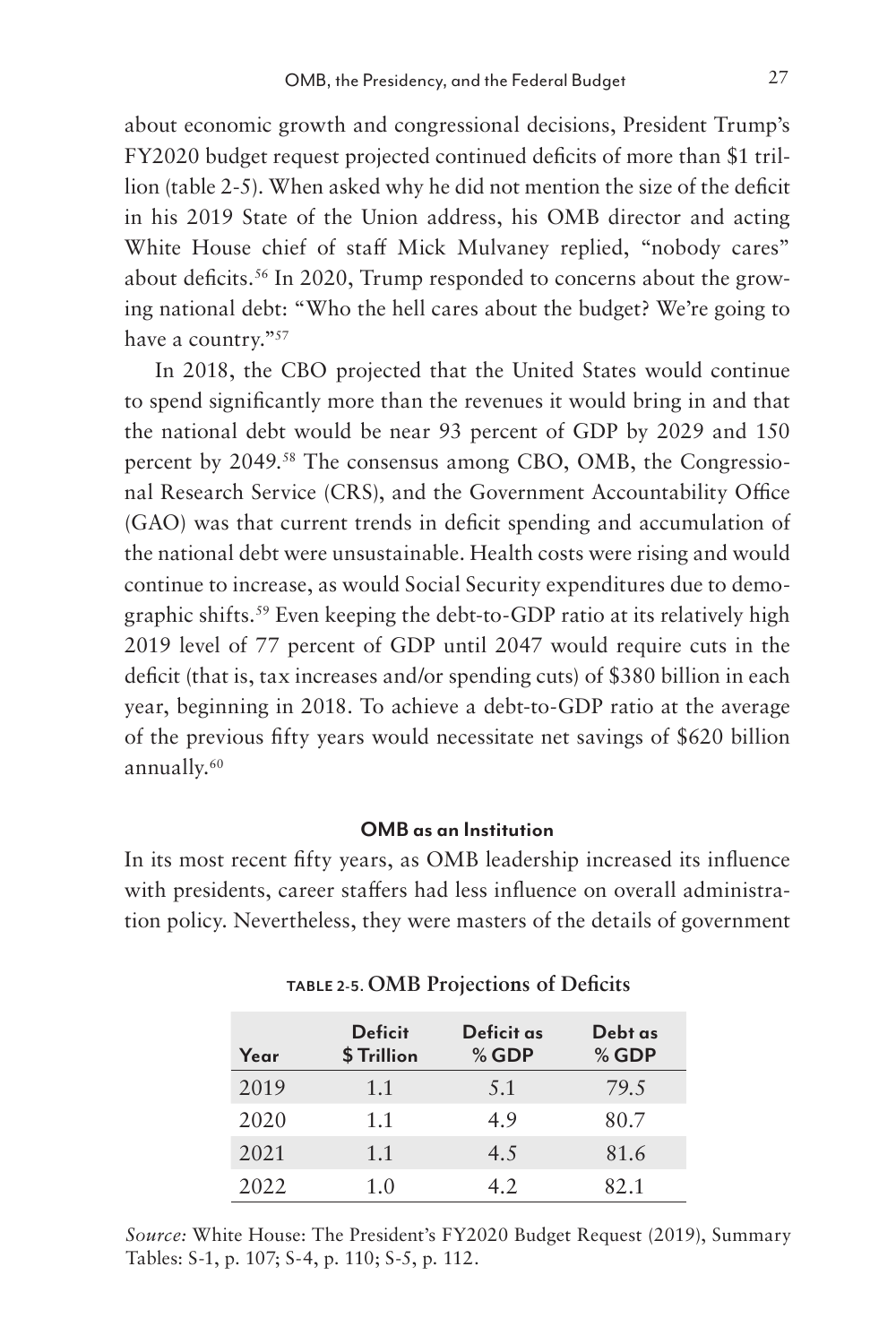about economic growth and congressional decisions, President Trump's FY2020 budget request projected continued deficits of more than \$1 trillion (table 2-5). When asked why he did not mention the size of the deficit in his 2019 State of the Union address, his OMB director and acting White House chief of staff Mick Mulvaney replied, "nobody cares" about deficits.<sup>56</sup> In 2020, Trump responded to concerns about the growing national debt: "Who the hell cares about the budget? We're going to have a country."57

In 2018, the CBO projected that the United States would continue to spend significantly more than the revenues it would bring in and that the national debt would be near 93 percent of GDP by 2029 and 150 percent by 2049.58 The consensus among CBO, OMB, the Congressional Research Service (CRS), and the Government Accountability Office (GAO) was that current trends in deficit spending and accumulation of the national debt were unsustainable. Health costs were rising and would continue to increase, as would Social Security expenditures due to demographic shifts.<sup>59</sup> Even keeping the debt-to-GDP ratio at its relatively high 2019 level of 77 percent of GDP until 2047 would require cuts in the deficit (that is, tax increases and/or spending cuts) of \$380 billion in each year, beginning in 2018. To achieve a debt-to-GDP ratio at the average of the previous fifty years would necessitate net savings of \$620 billion annually.60

#### **OMB as an Institution**

In its most recent fifty years, as OMB leadership increased its influence with presidents, career staffers had less influence on overall administration policy. Nevertheless, they were masters of the details of government

| Year | <b>Deficit</b><br>\$Trillion | Deficit as<br>$%$ GDP | Debt as<br>$%$ GDP |
|------|------------------------------|-----------------------|--------------------|
| 2019 | 1.1                          | 5.1                   | 79.5               |
| 2020 | 1.1                          | 4.9                   | 80.7               |
| 2021 | 1.1                          | 4.5                   | 81.6               |
| 2022 | 1.0                          | 4.2                   | 82.1               |

**TABLE 2-5. OMB Projections of Deficits** 

*Source:* White House: The President's FY2020 Budget Request (2019), Summary Tables: S-1, p. 107; S-4, p. 110; S-5, p. 112.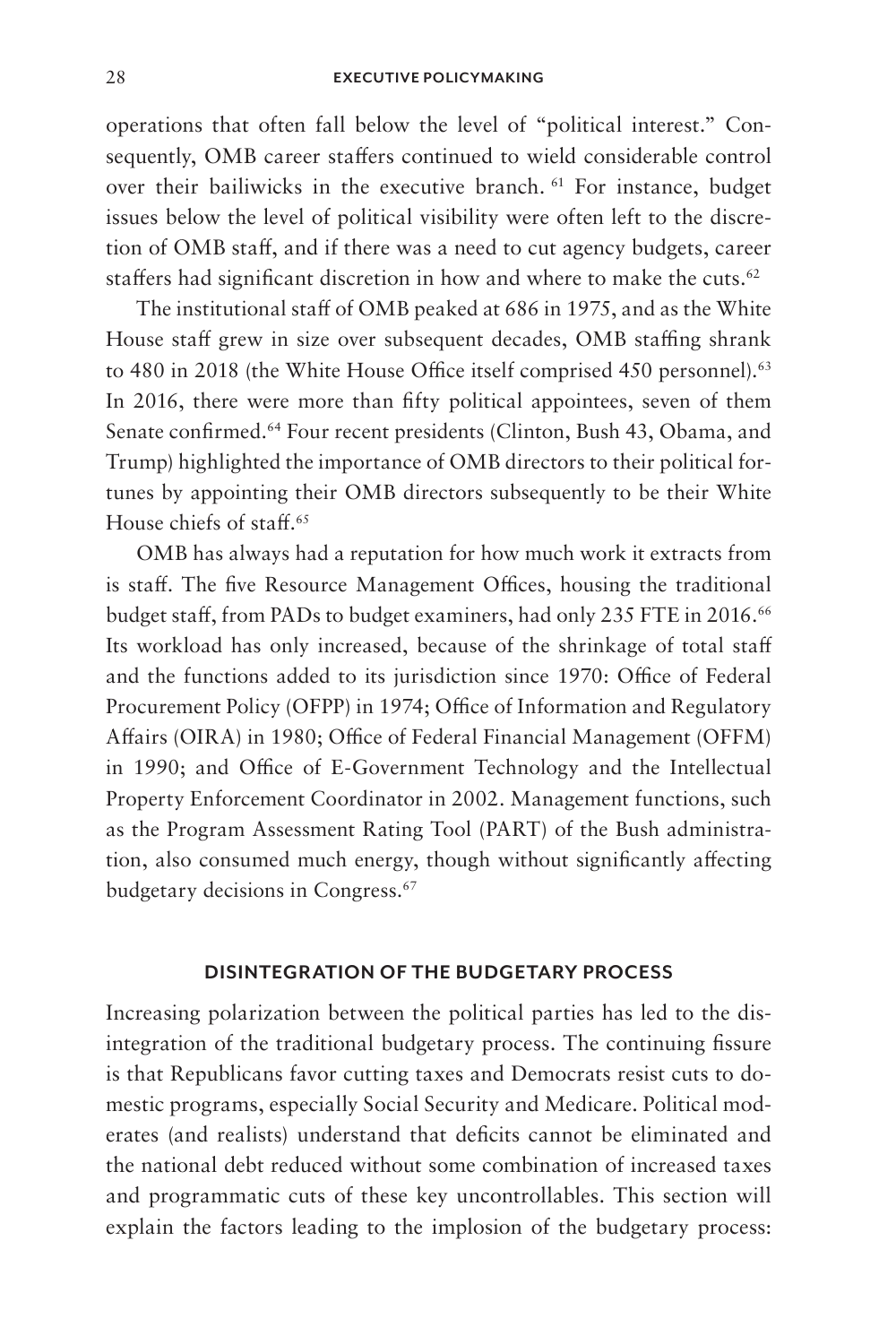operations that often fall below the level of "political interest." Consequently, OMB career staffers continued to wield considerable control over their bailiwicks in the executive branch. 61 For instance, budget issues below the level of political visibility were often left to the discretion of OMB staff, and if there was a need to cut agency budgets, career staffers had significant discretion in how and where to make the cuts.<sup>62</sup>

The institutional staff of OMB peaked at 686 in 1975, and as the White House staff grew in size over subsequent decades, OMB staffing shrank to 480 in 2018 (the White House Office itself comprised 450 personnel).<sup>63</sup> In 2016, there were more than fifty political appointees, seven of them Senate confirmed.64 Four recent presidents (Clinton, Bush 43, Obama, and Trump) highlighted the importance of OMB directors to their political fortunes by appointing their OMB directors subsequently to be their White House chiefs of staff.65

OMB has always had a reputation for how much work it extracts from is staff. The five Resource Management Offices, housing the traditional budget staff, from PADs to budget examiners, had only 235 FTE in 2016.<sup>66</sup> Its workload has only increased, because of the shrinkage of total staff and the functions added to its jurisdiction since 1970: Office of Federal Procurement Policy (OFPP) in 1974; Office of Information and Regulatory Affairs (OIRA) in 1980; Office of Federal Financial Management (OFFM) in 1990; and Office of E-Government Technology and the Intellectual Property Enforcement Coordinator in 2002. Management functions, such as the Program Assessment Rating Tool (PART) of the Bush administration, also consumed much energy, though without significantly affecting budgetary decisions in Congress.67

#### **DISINTEGRATION OF THE BUDGETARY PROCESS**

Increasing polarization between the political parties has led to the disintegration of the traditional budgetary process. The continuing fissure is that Republicans favor cutting taxes and Democrats resist cuts to domestic programs, especially Social Security and Medicare. Political moderates (and realists) understand that deficits cannot be eliminated and the national debt reduced without some combination of increased taxes and programmatic cuts of these key uncontrollables. This section will explain the factors leading to the implosion of the budgetary process: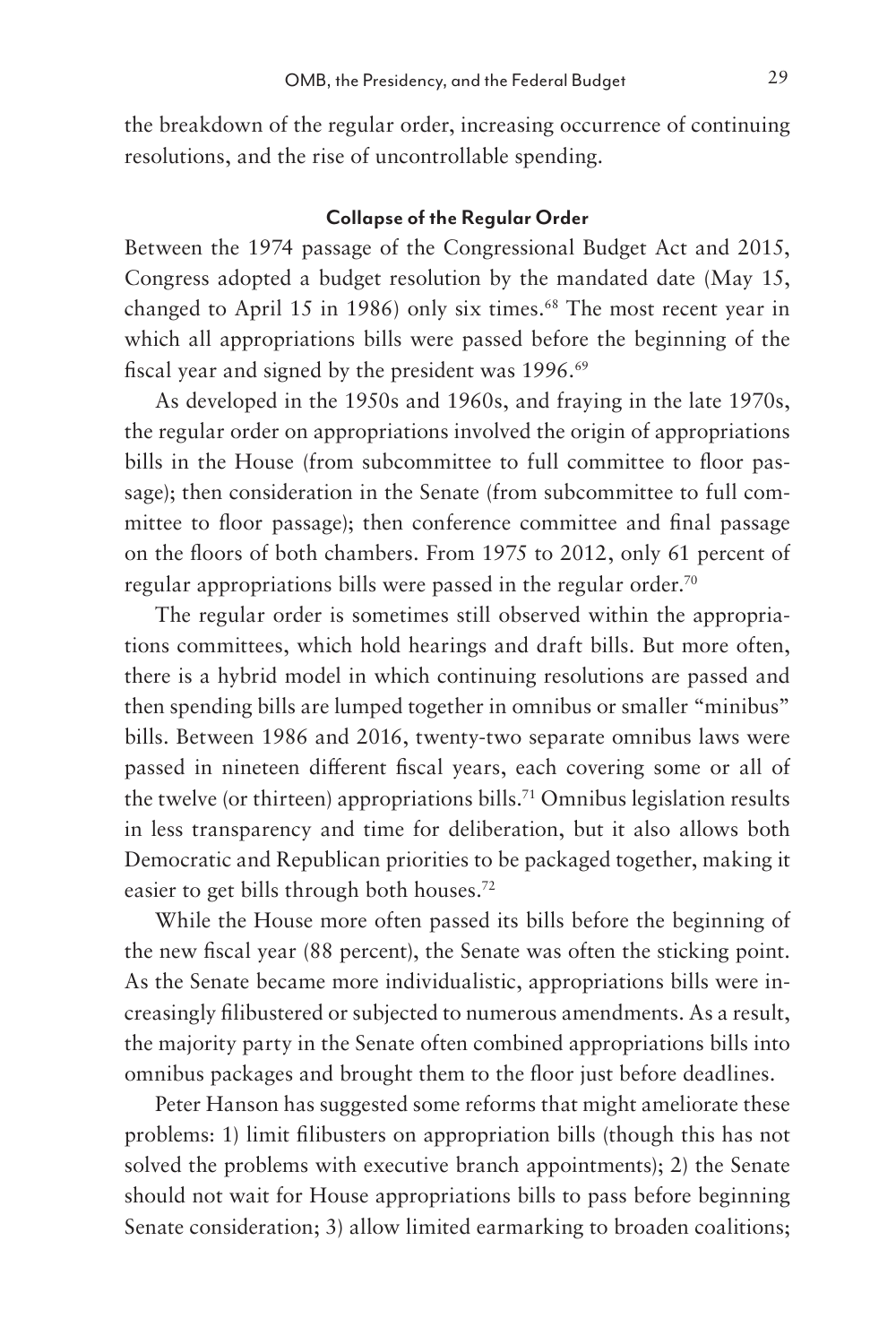the breakdown of the regular order, increasing occurrence of continuing resolutions, and the rise of uncontrollable spending.

#### **Collapse of the Regular Order**

Between the 1974 passage of the Congressional Budget Act and 2015, Congress adopted a budget resolution by the mandated date (May 15, changed to April 15 in 1986) only six times.<sup>68</sup> The most recent year in which all appropriations bills were passed before the beginning of the fiscal year and signed by the president was 1996.<sup>69</sup>

As developed in the 1950s and 1960s, and fraying in the late 1970s, the regular order on appropriations involved the origin of appropriations bills in the House (from subcommittee to full committee to floor passage); then consideration in the Senate (from subcommittee to full committee to floor passage); then conference committee and final passage on the floors of both chambers. From 1975 to 2012, only 61 percent of regular appropriations bills were passed in the regular order.70

The regular order is sometimes still observed within the appropriations committees, which hold hearings and draft bills. But more often, there is a hybrid model in which continuing resolutions are passed and then spending bills are lumped together in omnibus or smaller "minibus" bills. Between 1986 and 2016, twenty-two separate omnibus laws were passed in nineteen different fiscal years, each covering some or all of the twelve (or thirteen) appropriations bills.<sup>71</sup> Omnibus legislation results in less transparency and time for deliberation, but it also allows both Democratic and Republican priorities to be packaged together, making it easier to get bills through both houses.72

While the House more often passed its bills before the beginning of the new fiscal year (88 percent), the Senate was often the sticking point. As the Senate became more individualistic, appropriations bills were increasingly filibustered or subjected to numerous amendments. As a result, the majority party in the Senate often combined appropriations bills into omnibus packages and brought them to the floor just before deadlines.

Peter Hanson has suggested some reforms that might ameliorate these problems: 1) limit filibusters on appropriation bills (though this has not solved the problems with executive branch appointments); 2) the Senate should not wait for House appropriations bills to pass before beginning Senate consideration; 3) allow limited earmarking to broaden coalitions;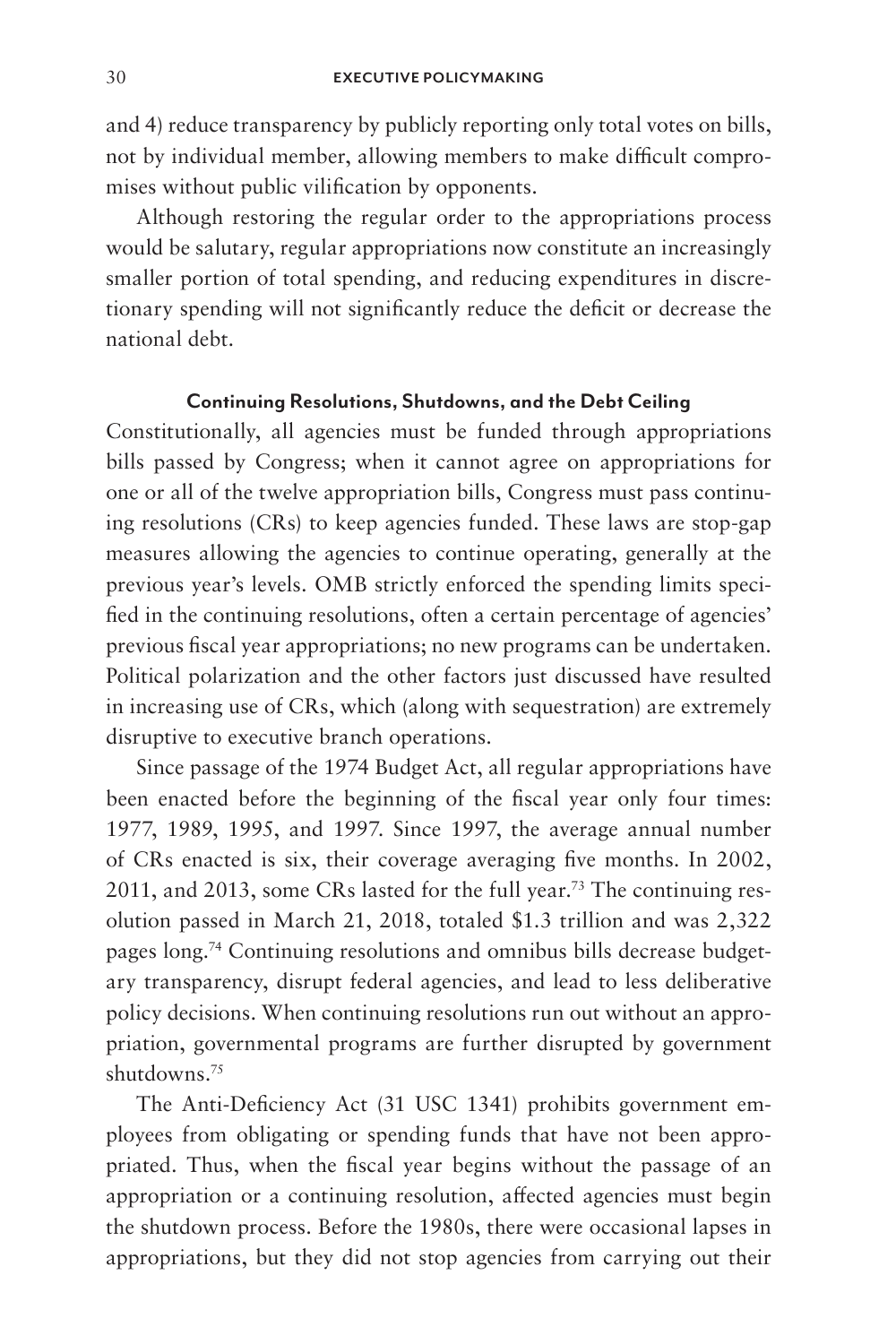and 4) reduce transparency by publicly reporting only total votes on bills, not by individual member, allowing members to make difficult compromises without public vilification by opponents.

Although restoring the regular order to the appropriations process would be salutary, regular appropriations now constitute an increasingly smaller portion of total spending, and reducing expenditures in discretionary spending will not significantly reduce the deficit or decrease the national debt.

### **Continuing Resolutions, Shutdowns, and the Debt Ceiling**

Constitutionally, all agencies must be funded through appropriations bills passed by Congress; when it cannot agree on appropriations for one or all of the twelve appropriation bills, Congress must pass continuing resolutions (CRs) to keep agencies funded. These laws are stop-gap measures allowing the agencies to continue operating, generally at the previous year's levels. OMB strictly enforced the spending limits specified in the continuing resolutions, often a certain percentage of agencies' previous fiscal year appropriations; no new programs can be undertaken. Political polarization and the other factors just discussed have resulted in increasing use of CRs, which (along with sequestration) are extremely disruptive to executive branch operations.

Since passage of the 1974 Budget Act, all regular appropriations have been enacted before the beginning of the fiscal year only four times: 1977, 1989, 1995, and 1997. Since 1997, the average annual number of CRs enacted is six, their coverage averaging five months. In 2002, 2011, and 2013, some CRs lasted for the full year.73 The continuing resolution passed in March 21, 2018, totaled \$1.3 trillion and was 2,322 pages long.74 Continuing resolutions and omnibus bills decrease budgetary transparency, disrupt federal agencies, and lead to less deliberative policy decisions. When continuing resolutions run out without an appropriation, governmental programs are further disrupted by government shutdowns.75

The Anti-Deficiency Act (31 USC 1341) prohibits government employees from obligating or spending funds that have not been appropriated. Thus, when the fiscal year begins without the passage of an appropriation or a continuing resolution, affected agencies must begin the shutdown process. Before the 1980s, there were occasional lapses in appropriations, but they did not stop agencies from carrying out their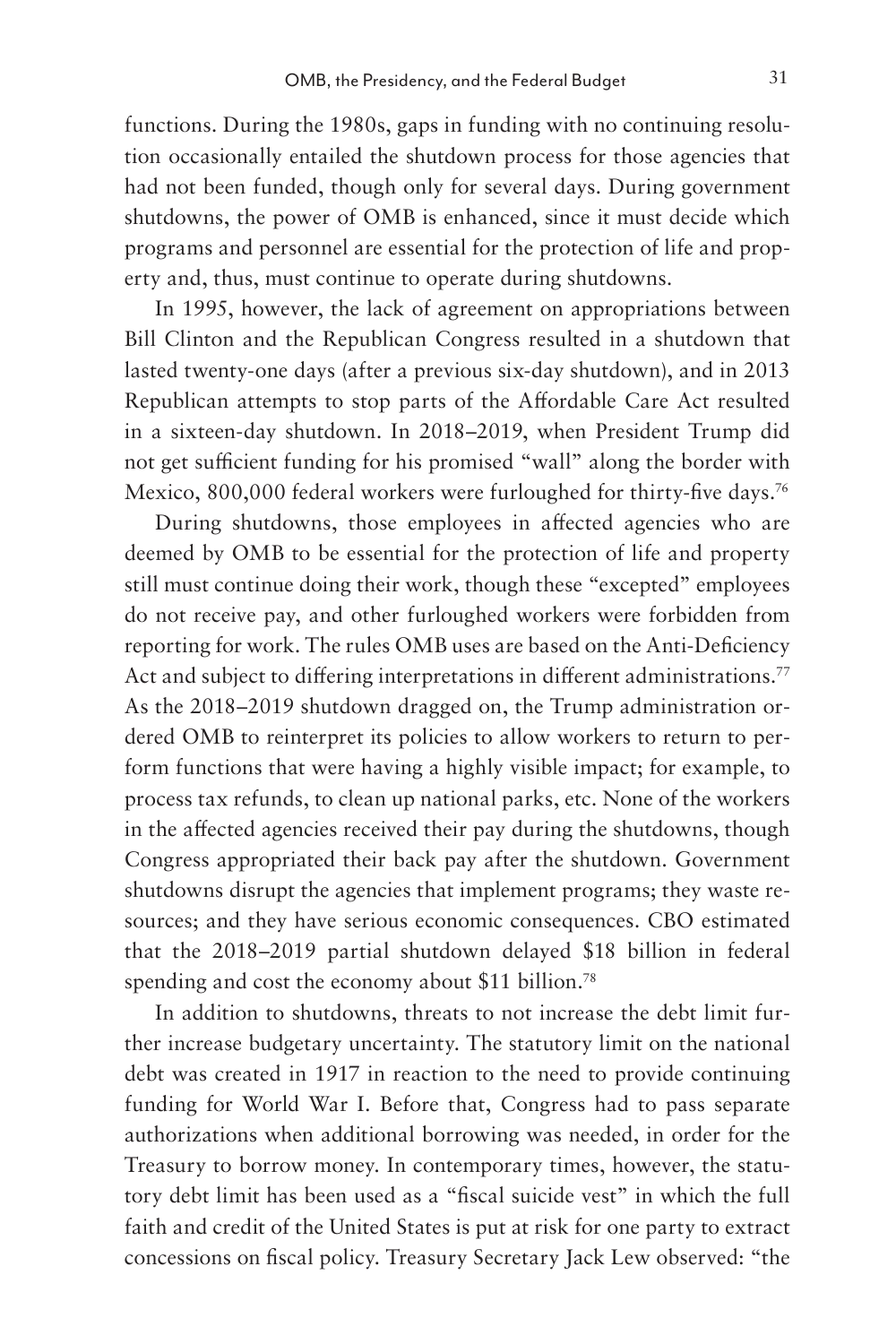functions. During the 1980s, gaps in funding with no continuing resolution occasionally entailed the shutdown process for those agencies that had not been funded, though only for several days. During government shutdowns, the power of OMB is enhanced, since it must decide which programs and personnel are essential for the protection of life and property and, thus, must continue to operate during shutdowns.

In 1995, however, the lack of agreement on appropriations between Bill Clinton and the Republican Congress resulted in a shutdown that lasted twenty-one days (after a previous six-day shutdown), and in 2013 Republican attempts to stop parts of the Affordable Care Act resulted in a sixteen-day shutdown. In 2018–2019, when President Trump did not get sufficient funding for his promised "wall" along the border with Mexico, 800,000 federal workers were furloughed for thirty-five days.<sup>76</sup>

During shutdowns, those employees in affected agencies who are deemed by OMB to be essential for the protection of life and property still must continue doing their work, though these "excepted" employees do not receive pay, and other furloughed workers were forbidden from reporting for work. The rules OMB uses are based on the Anti-Deficiency Act and subject to differing interpretations in different administrations.<sup>77</sup> As the 2018–2019 shutdown dragged on, the Trump administration ordered OMB to reinterpret its policies to allow workers to return to perform functions that were having a highly visible impact; for example, to process tax refunds, to clean up national parks, etc. None of the workers in the affected agencies received their pay during the shutdowns, though Congress appropriated their back pay after the shutdown. Government shutdowns disrupt the agencies that implement programs; they waste resources; and they have serious economic consequences. CBO estimated that the 2018–2019 partial shutdown delayed \$18 billion in federal spending and cost the economy about \$11 billion.<sup>78</sup>

In addition to shutdowns, threats to not increase the debt limit further increase budgetary uncertainty. The statutory limit on the national debt was created in 1917 in reaction to the need to provide continuing funding for World War I. Before that, Congress had to pass separate authorizations when additional borrowing was needed, in order for the Treasury to borrow money. In contemporary times, however, the statutory debt limit has been used as a "fiscal suicide vest" in which the full faith and credit of the United States is put at risk for one party to extract concessions on fiscal policy. Treasury Secretary Jack Lew observed: "the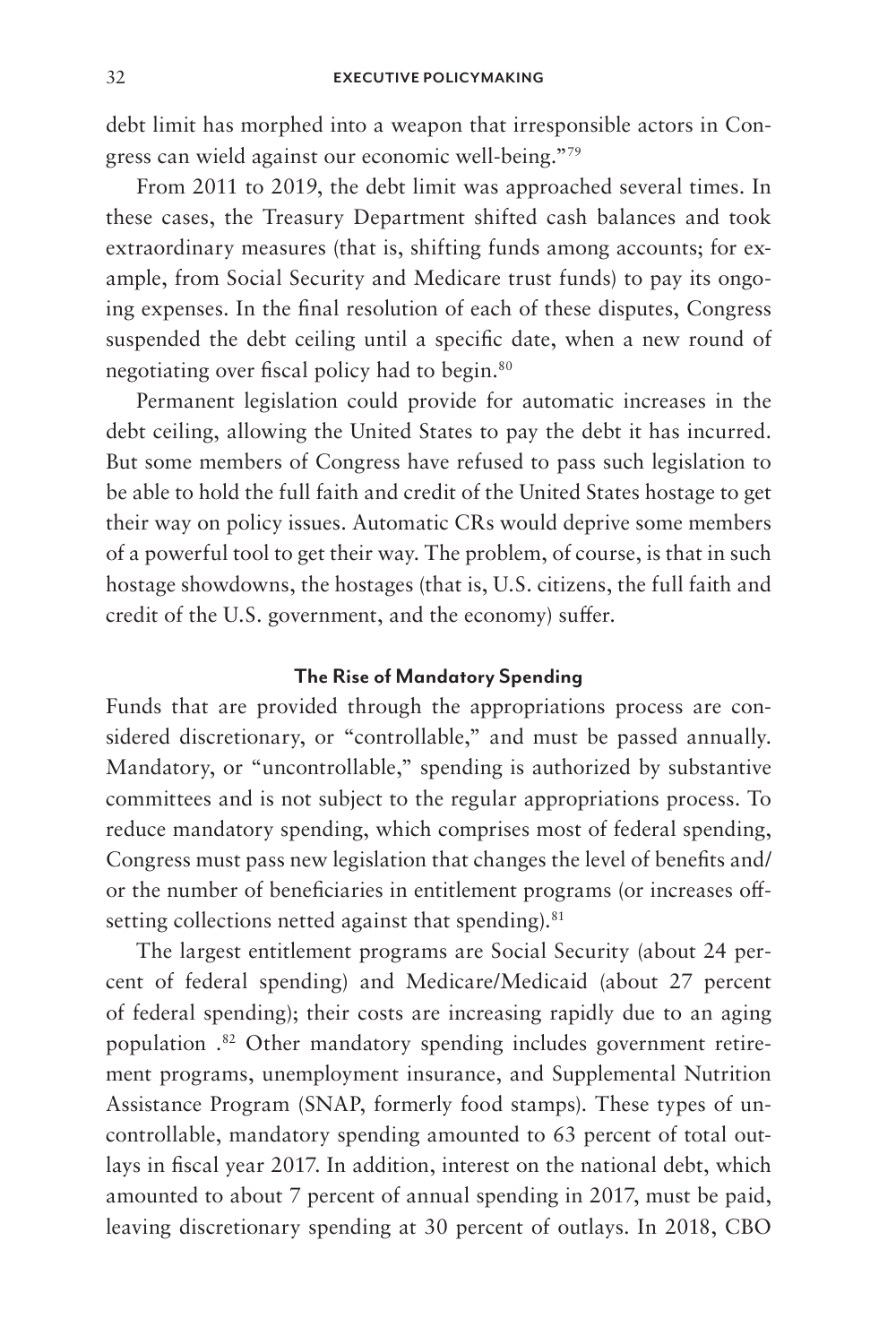debt limit has morphed into a weapon that irresponsible actors in Congress can wield against our economic well-being."79

From 2011 to 2019, the debt limit was approached several times. In these cases, the Treasury Department shifted cash balances and took extraordinary measures (that is, shifting funds among accounts; for example, from Social Security and Medicare trust funds) to pay its ongoing expenses. In the final resolution of each of these disputes, Congress suspended the debt ceiling until a specific date, when a new round of negotiating over fiscal policy had to begin.80

Permanent legislation could provide for automatic increases in the debt ceiling, allowing the United States to pay the debt it has incurred. But some members of Congress have refused to pass such legislation to be able to hold the full faith and credit of the United States hostage to get their way on policy issues. Automatic CRs would deprive some members of a powerful tool to get their way. The problem, of course, is that in such hostage showdowns, the hostages (that is, U.S. citizens, the full faith and credit of the U.S. government, and the economy) suffer.

### **The Rise of Mandatory Spending**

Funds that are provided through the appropriations process are considered discretionary, or "controllable," and must be passed annually. Mandatory, or "uncontrollable," spending is authorized by substantive committees and is not subject to the regular appropriations process. To reduce mandatory spending, which comprises most of federal spending, Congress must pass new legislation that changes the level of benefits and/ or the number of beneficiaries in entitlement programs (or increases offsetting collections netted against that spending).<sup>81</sup>

The largest entitlement programs are Social Security (about 24 percent of federal spending) and Medicare/Medicaid (about 27 percent of federal spending); their costs are increasing rapidly due to an aging population .<sup>82</sup> Other mandatory spending includes government retirement programs, unemployment insurance, and Supplemental Nutrition Assistance Program (SNAP, formerly food stamps). These types of uncontrollable, mandatory spending amounted to 63 percent of total outlays in fiscal year 2017. In addition, interest on the national debt, which amounted to about 7 percent of annual spending in 2017, must be paid, leaving discretionary spending at 30 percent of outlays. In 2018, CBO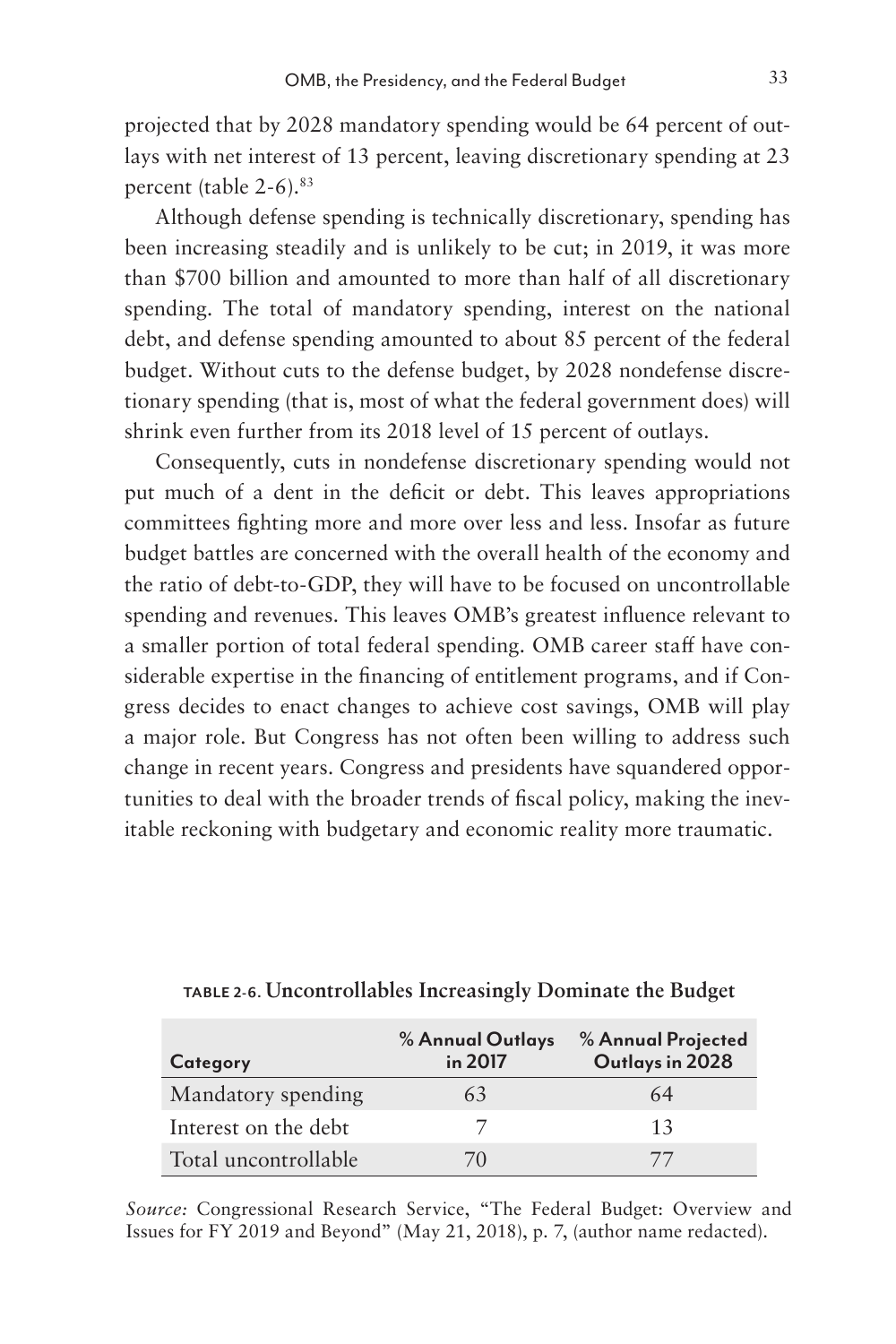projected that by 2028 mandatory spending would be 64 percent of outlays with net interest of 13 percent, leaving discretionary spending at 23 percent (table 2-6).83

Although defense spending is technically discretionary, spending has been increasing steadily and is unlikely to be cut; in 2019, it was more than \$700 billion and amounted to more than half of all discretionary spending. The total of mandatory spending, interest on the national debt, and defense spending amounted to about 85 percent of the federal budget. Without cuts to the defense budget, by 2028 nondefense discretionary spending (that is, most of what the federal government does) will shrink even further from its 2018 level of 15 percent of outlays.

Consequently, cuts in nondefense discretionary spending would not put much of a dent in the deficit or debt. This leaves appropriations committees fighting more and more over less and less. Insofar as future budget battles are concerned with the overall health of the economy and the ratio of debt-to-GDP, they will have to be focused on uncontrollable spending and revenues. This leaves OMB's greatest influence relevant to a smaller portion of total federal spending. OMB career staff have considerable expertise in the financing of entitlement programs, and if Congress decides to enact changes to achieve cost savings, OMB will play a major role. But Congress has not often been willing to address such change in recent years. Congress and presidents have squandered opportunities to deal with the broader trends of fiscal policy, making the inevitable reckoning with budgetary and economic reality more traumatic.

| Category             | % Annual Outlays<br>in 2017 | % Annual Projected<br>Outlays in 2028 |
|----------------------|-----------------------------|---------------------------------------|
| Mandatory spending   | 6.3                         | 64                                    |
| Interest on the debt |                             | 13                                    |
| Total uncontrollable | (1)                         |                                       |

**TABLE 2-6. Uncontrollables Increasingly Dominate the Budget**

*Source:* Congressional Research Service, "The Federal Budget: Overview and Issues for FY 2019 and Beyond" (May 21, 2018), p. 7, (author name redacted).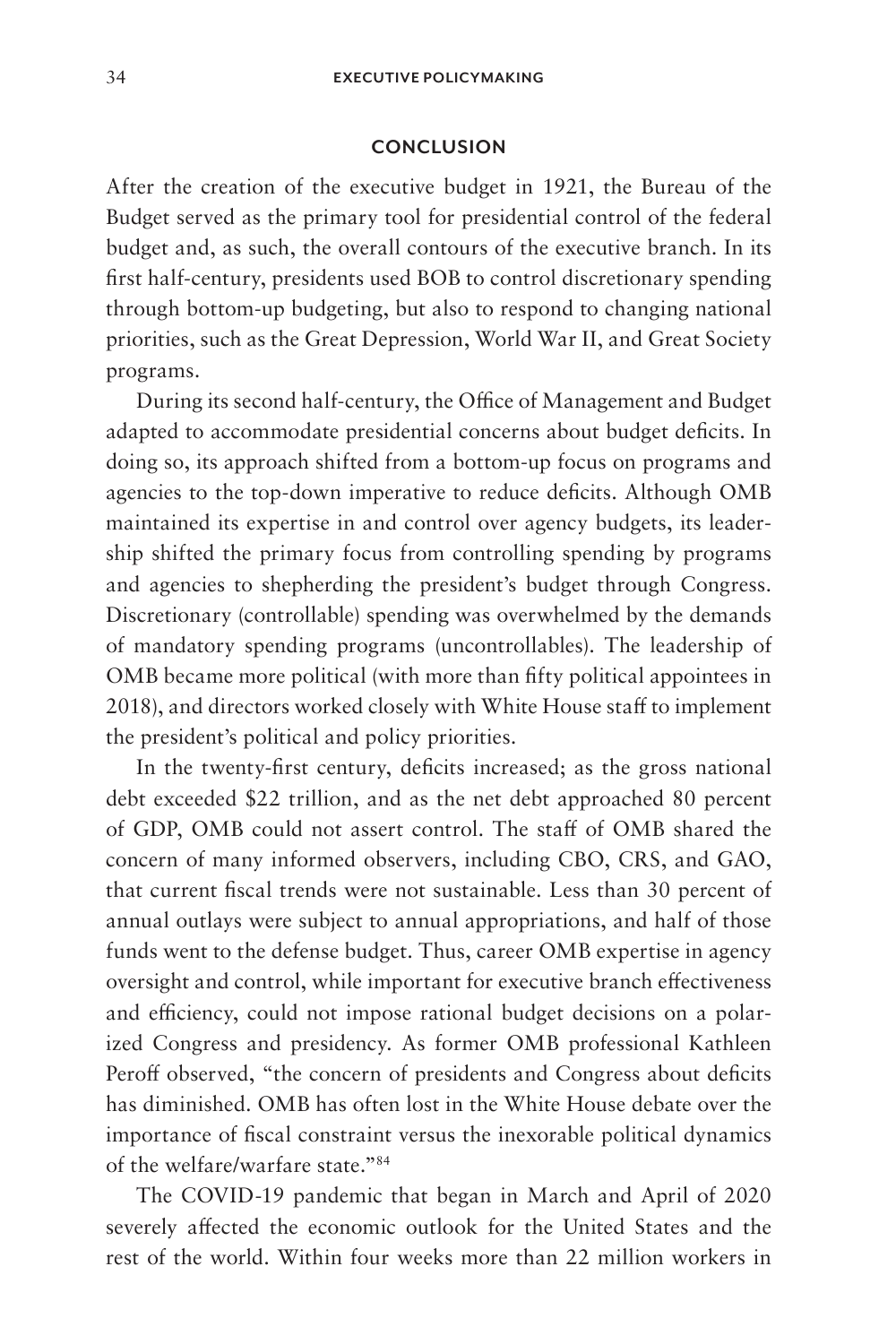#### **CONCLUSION**

After the creation of the executive budget in 1921, the Bureau of the Budget served as the primary tool for presidential control of the federal budget and, as such, the overall contours of the executive branch. In its first half-century, presidents used BOB to control discretionary spending through bottom-up budgeting, but also to respond to changing national priorities, such as the Great Depression, World War II, and Great Society programs.

During its second half-century, the Office of Management and Budget adapted to accommodate presidential concerns about budget deficits. In doing so, its approach shifted from a bottom-up focus on programs and agencies to the top-down imperative to reduce deficits. Although OMB maintained its expertise in and control over agency budgets, its leadership shifted the primary focus from controlling spending by programs and agencies to shepherding the president's budget through Congress. Discretionary (controllable) spending was overwhelmed by the demands of mandatory spending programs (uncontrollables). The leadership of OMB became more political (with more than fifty political appointees in 2018), and directors worked closely with White House staff to implement the president's political and policy priorities.

In the twenty-first century, deficits increased; as the gross national debt exceeded \$22 trillion, and as the net debt approached 80 percent of GDP, OMB could not assert control. The staff of OMB shared the concern of many informed observers, including CBO, CRS, and GAO, that current fiscal trends were not sustainable. Less than 30 percent of annual outlays were subject to annual appropriations, and half of those funds went to the defense budget. Thus, career OMB expertise in agency oversight and control, while important for executive branch effectiveness and efficiency, could not impose rational budget decisions on a polarized Congress and presidency. As former OMB professional Kathleen Peroff observed, "the concern of presidents and Congress about deficits has diminished. OMB has often lost in the White House debate over the importance of fiscal constraint versus the inexorable political dynamics of the welfare/warfare state."84

The COVID-19 pandemic that began in March and April of 2020 severely affected the economic outlook for the United States and the rest of the world. Within four weeks more than 22 million workers in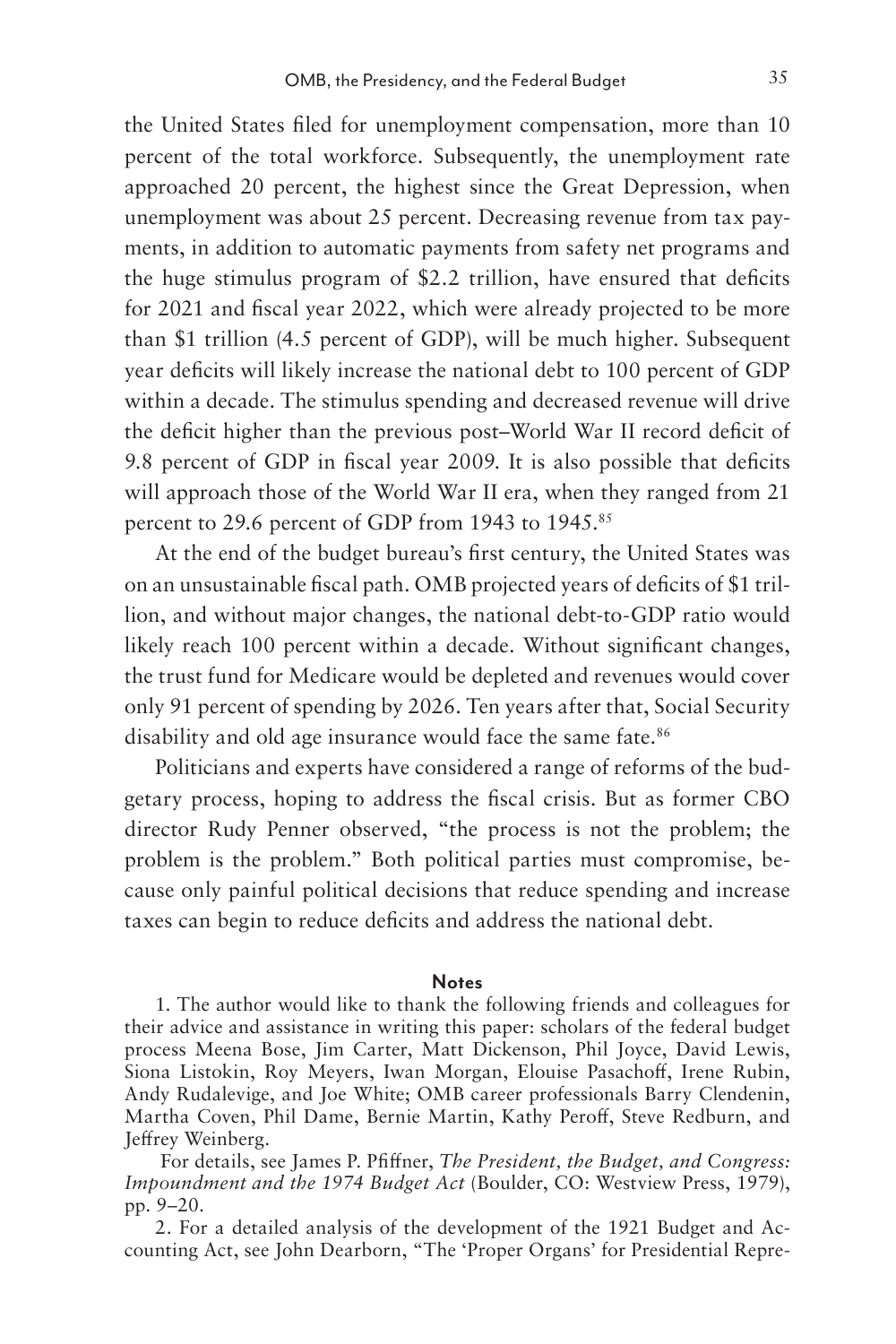the United States filed for unemployment compensation, more than 10 percent of the total workforce. Subsequently, the unemployment rate approached 20 percent, the highest since the Great Depression, when unemployment was about 25 percent. Decreasing revenue from tax payments, in addition to automatic payments from safety net programs and the huge stimulus program of \$2.2 trillion, have ensured that deficits for 2021 and fiscal year 2022, which were already projected to be more than \$1 trillion (4.5 percent of GDP), will be much higher. Subsequent year deficits will likely increase the national debt to 100 percent of GDP within a decade. The stimulus spending and decreased revenue will drive the deficit higher than the previous post–World War II record deficit of 9.8 percent of GDP in fiscal year 2009. It is also possible that deficits will approach those of the World War II era, when they ranged from 21 percent to 29.6 percent of GDP from 1943 to 1945.85

At the end of the budget bureau's first century, the United States was on an unsustainable fiscal path. OMB projected years of deficits of \$1 trillion, and without major changes, the national debt-to-GDP ratio would likely reach 100 percent within a decade. Without significant changes, the trust fund for Medicare would be depleted and revenues would cover only 91 percent of spending by 2026. Ten years after that, Social Security disability and old age insurance would face the same fate.<sup>86</sup>

Politicians and experts have considered a range of reforms of the budgetary process, hoping to address the fiscal crisis. But as former CBO director Rudy Penner observed, "the process is not the problem; the problem is the problem." Both political parties must compromise, because only painful political decisions that reduce spending and increase taxes can begin to reduce deficits and address the national debt.

#### **Notes**

1. The author would like to thank the following friends and colleagues for their advice and assistance in writing this paper: scholars of the federal budget process Meena Bose, Jim Carter, Matt Dickenson, Phil Joyce, David Lewis, Siona Listokin, Roy Meyers, Iwan Morgan, Elouise Pasachoff, Irene Rubin, Andy Rudalevige, and Joe White; OMB career professionals Barry Clendenin, Martha Coven, Phil Dame, Bernie Martin, Kathy Peroff, Steve Redburn, and Jeffrey Weinberg.

 For details, see James P. Pfiffner, *The President, the Budget, and Congress: Impoundment and the 1974 Budget Act* (Boulder, CO: Westview Press, 1979), pp. 9–20.

2. For a detailed analysis of the development of the 1921 Budget and Accounting Act, see John Dearborn, "The 'Proper Organs' for Presidential Repre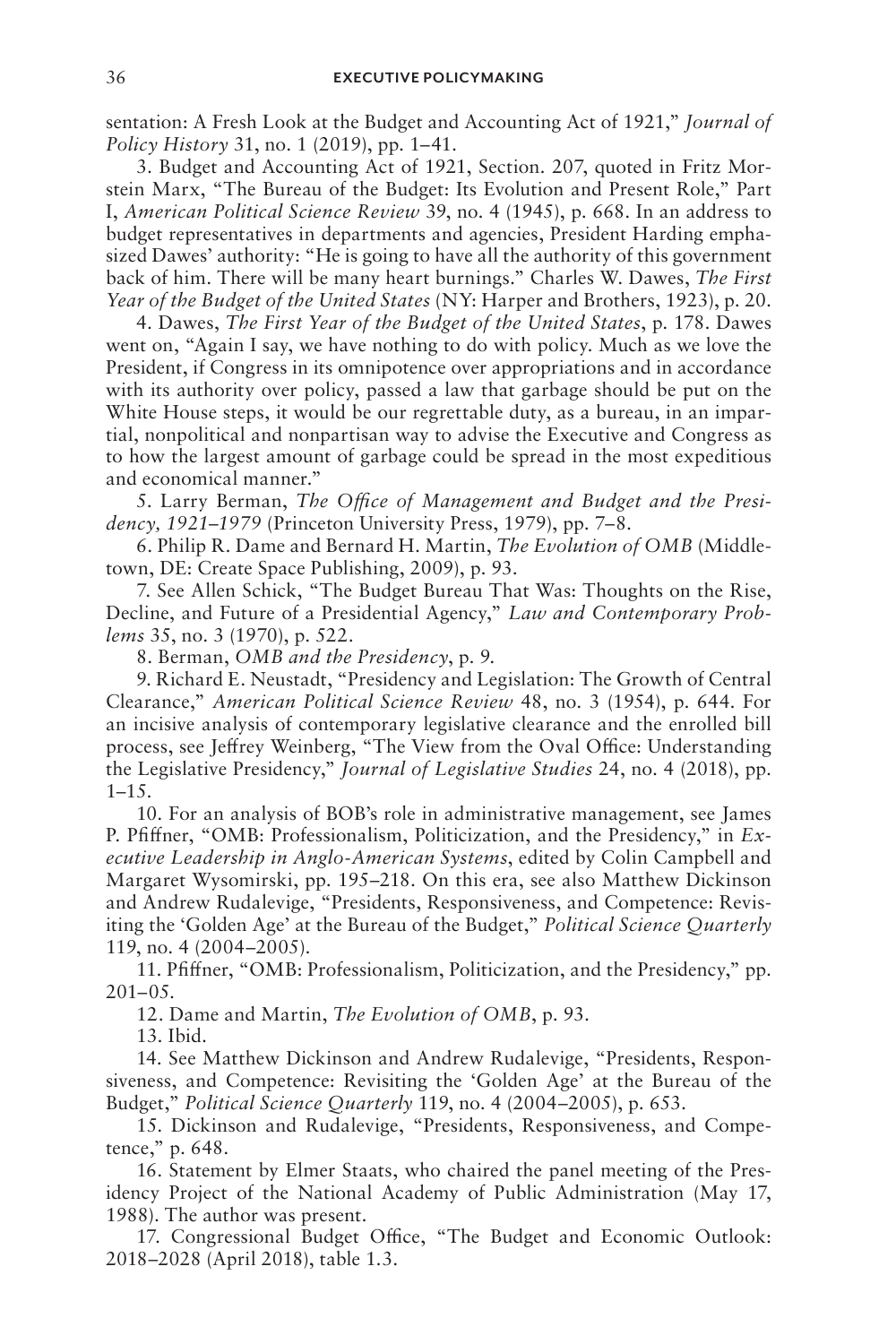sentation: A Fresh Look at the Budget and Accounting Act of 1921," *Journal of Policy History* 31, no. 1 (2019), pp. 1–41.

3. Budget and Accounting Act of 1921, Section. 207, quoted in Fritz Morstein Marx, "The Bureau of the Budget: Its Evolution and Present Role," Part I, *American Political Science Review* 39, no. 4 (1945), p. 668. In an address to budget representatives in departments and agencies, President Harding emphasized Dawes' authority: "He is going to have all the authority of this government back of him. There will be many heart burnings." Charles W. Dawes, *The First Year of the Budget of the United States* (NY: Harper and Brothers, 1923), p. 20.

4. Dawes, *The First Year of the Budget of the United States*, p. 178. Dawes went on, "Again I say, we have nothing to do with policy. Much as we love the President, if Congress in its omnipotence over appropriations and in accordance with its authority over policy, passed a law that garbage should be put on the White House steps, it would be our regrettable duty, as a bureau, in an impartial, nonpolitical and nonpartisan way to advise the Executive and Congress as to how the largest amount of garbage could be spread in the most expeditious and economical manner."

5. Larry Berman, *The Office of Management and Budget and the Presidency, 1921*–*1979* (Princeton University Press, 1979), pp. 7–8.

6. Philip R. Dame and Bernard H. Martin, *The Evolution of OMB* (Middletown, DE: Create Space Publishing, 2009), p. 93.

7. See Allen Schick, "The Budget Bureau That Was: Thoughts on the Rise, Decline, and Future of a Presidential Agency," *Law and Contemporary Problems* 35, no. 3 (1970), p. 522.

8. Berman, *OMB and the Presidency*, p. 9.

9. Richard E. Neustadt, "Presidency and Legislation: The Growth of Central Clearance," *American Political Science Review* 48, no. 3 (1954), p. 644. For an incisive analysis of contemporary legislative clearance and the enrolled bill process, see Jeffrey Weinberg, "The View from the Oval Office: Understanding the Legislative Presidency," *Journal of Legislative Studies* 24, no. 4 (2018), pp. 1–15.

10. For an analysis of BOB's role in administrative management, see James P. Pfiffner, "OMB: Professionalism, Politicization, and the Presidency," in *Executive Leadership in Anglo-American Systems*, edited by Colin Campbell and Margaret Wysomirski, pp. 195–218. On this era, see also Matthew Dickinson and Andrew Rudalevige, "Presidents, Responsiveness, and Competence: Revisiting the 'Golden Age' at the Bureau of the Budget," *Political Science Quarterly* 119, no. 4 (2004–2005).

11. Pfiffner, "OMB: Professionalism, Politicization, and the Presidency," pp. 201–05.

12. Dame and Martin, *The Evolution of OMB*, p. 93.

13. Ibid.

14. See Matthew Dickinson and Andrew Rudalevige, "Presidents, Responsiveness, and Competence: Revisiting the 'Golden Age' at the Bureau of the Budget," *Political Science Quarterly* 119, no. 4 (2004–2005), p. 653.

15. Dickinson and Rudalevige, "Presidents, Responsiveness, and Competence," p. 648.

16. Statement by Elmer Staats, who chaired the panel meeting of the Presidency Project of the National Academy of Public Administration (May 17, 1988). The author was present.

17. Congressional Budget Office, "The Budget and Economic Outlook: 2018–2028 (April 2018), table 1.3.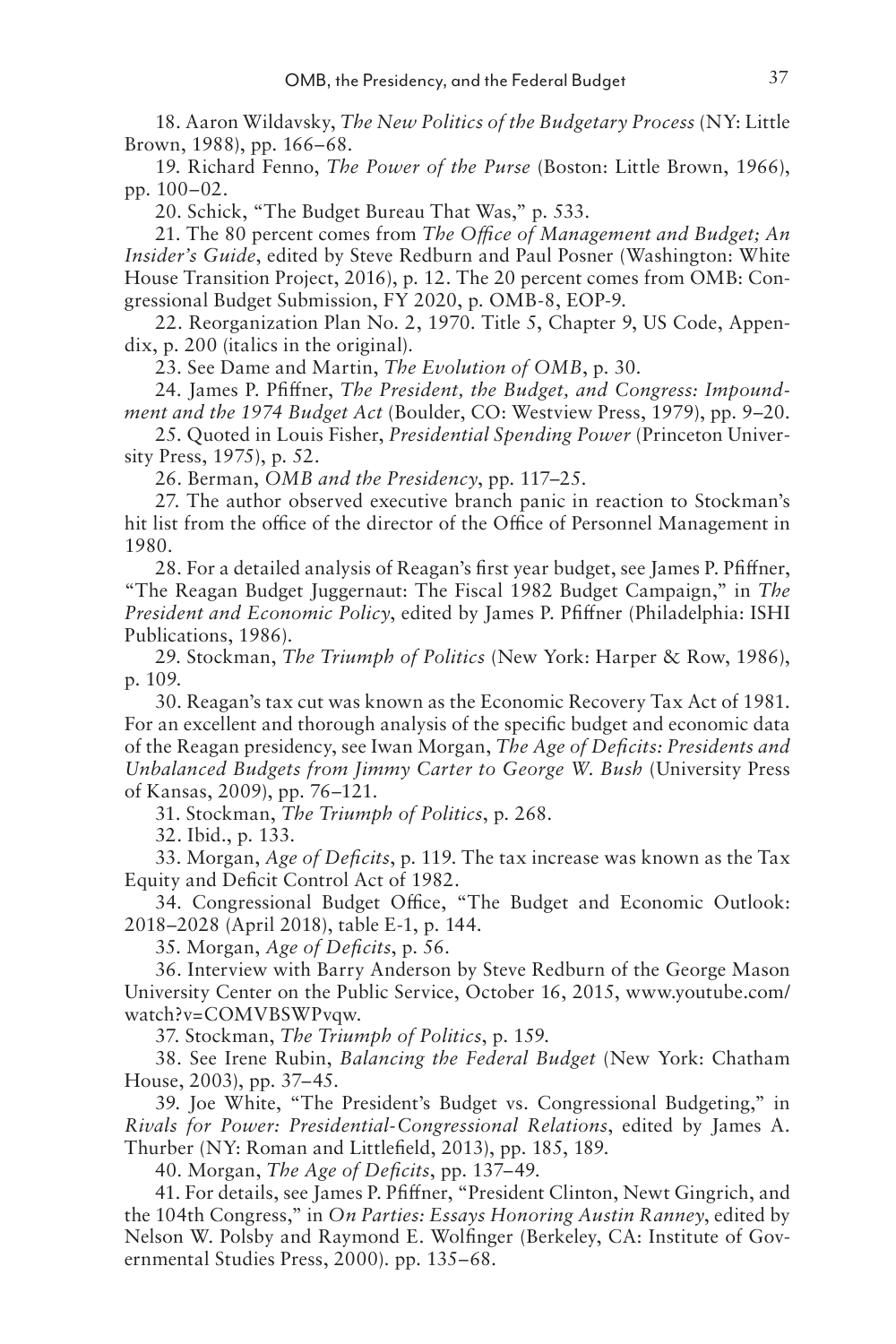18. Aaron Wildavsky, *The New Politics of the Budgetary Process* (NY: Little Brown, 1988), pp. 166–68.

19. Richard Fenno, *The Power of the Purse* (Boston: Little Brown, 1966), pp. 100–02.

20. Schick, "The Budget Bureau That Was," p. 533.

21. The 80 percent comes from *The Office of Management and Budget; An Insider's Guide*, edited by Steve Redburn and Paul Posner (Washington: White House Transition Project, 2016), p. 12. The 20 percent comes from OMB: Congressional Budget Submission, FY 2020, p. OMB-8, EOP-9.

22. Reorganization Plan No. 2, 1970. Title 5, Chapter 9, US Code, Appendix, p. 200 (italics in the original).

23. See Dame and Martin, *The Evolution of OMB*, p. 30.

24. James P. Pfiffner, *The President, the Budget, and Congress: Impoundment and the 1974 Budget Act* (Boulder, CO: Westview Press, 1979), pp. 9–20.

25. Quoted in Louis Fisher, *Presidential Spending Power* (Princeton University Press, 1975), p. 52.

26. Berman, *OMB and the Presidency*, pp. 117–25.

27. The author observed executive branch panic in reaction to Stockman's hit list from the office of the director of the Office of Personnel Management in 1980.

28. For a detailed analysis of Reagan's first year budget, see James P. Pfiffner, "The Reagan Budget Juggernaut: The Fiscal 1982 Budget Campaign," in *The President and Economic Policy*, edited by James P. Pfiffner (Philadelphia: ISHI Publications, 1986).

29. Stockman, *The Triumph of Politics* (New York: Harper & Row, 1986), p. 109.

30. Reagan's tax cut was known as the Economic Recovery Tax Act of 1981. For an excellent and thorough analysis of the specific budget and economic data of the Reagan presidency, see Iwan Morgan, *The Age of Deficits: Presidents and Unbalanced Budgets from Jimmy Carter to George W. Bush* (University Press of Kansas, 2009), pp. 76–121.

31. Stockman, *The Triumph of Politics*, p. 268.

32. Ibid., p. 133.

33. Morgan, *Age of Deficits*, p. 119. The tax increase was known as the Tax Equity and Deficit Control Act of 1982.

34. Congressional Budget Office, "The Budget and Economic Outlook: 2018–2028 (April 2018), table E-1, p. 144.

35. Morgan, *Age of Deficits*, p. 56.

36. Interview with Barry Anderson by Steve Redburn of the George Mason University Center on the Public Service, October 16, 2015, www.youtube.com/ watch?v=COMVBSWPvqw.

37. Stockman, *The Triumph of Politics*, p. 159.

38. See Irene Rubin, *Balancing the Federal Budget* (New York: Chatham House, 2003), pp. 37–45.

39. Joe White, "The President's Budget vs. Congressional Budgeting," in *Rivals for Power: Presidential-Congressional Relations*, edited by James A. Thurber (NY: Roman and Littlefield, 2013), pp. 185, 189.

40. Morgan, *The Age of Deficits*, pp. 137–49.

41. For details, see James P. Pfiffner, "President Clinton, Newt Gingrich, and the 104th Congress," in *On Parties: Essays Honoring Austin Ranney*, edited by Nelson W. Polsby and Raymond E. Wolfinger (Berkeley, CA: Institute of Governmental Studies Press, 2000). pp. 135–68.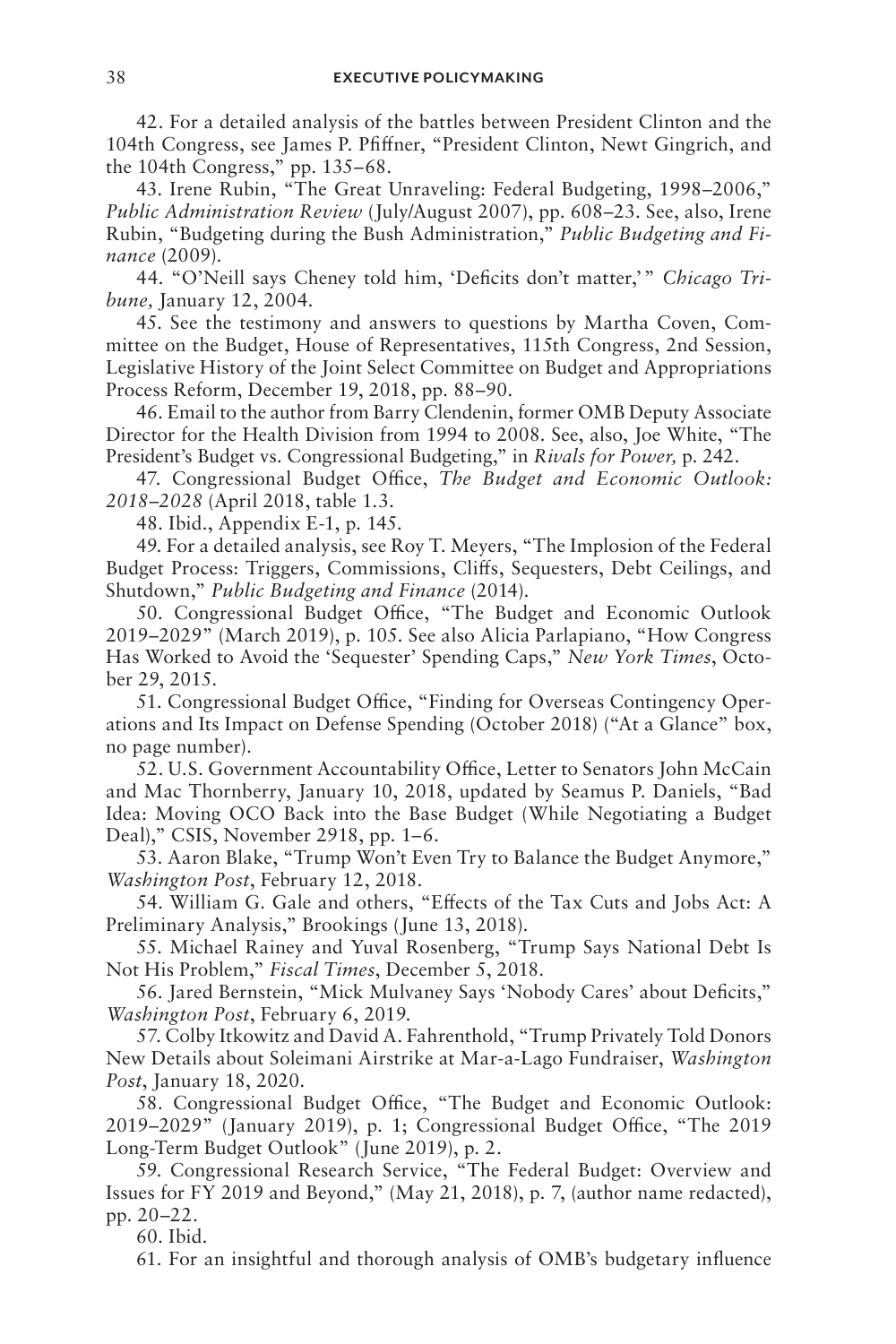42. For a detailed analysis of the battles between President Clinton and the 104th Congress, see James P. Pfiffner, "President Clinton, Newt Gingrich, and the 104th Congress," pp. 135–68.

43. Irene Rubin, "The Great Unraveling: Federal Budgeting, 1998–2006," *Public Administration Review* (July/August 2007), pp. 608–23. See, also, Irene Rubin, "Budgeting during the Bush Administration," *Public Budgeting and Finance* (2009).

44. "O'Neill says Cheney told him, 'Deficits don't matter,'" *Chicago Tribune,* January 12, 2004.

45. See the testimony and answers to questions by Martha Coven, Committee on the Budget, House of Representatives, 115th Congress, 2nd Session, Legislative History of the Joint Select Committee on Budget and Appropriations Process Reform, December 19, 2018, pp. 88–90.

46. Email to the author from Barry Clendenin, former OMB Deputy Associate Director for the Health Division from 1994 to 2008. See, also, Joe White, "The President's Budget vs. Congressional Budgeting," in *Rivals for Power,* p. 242.

47. Congressional Budget Office, *The Budget and Economic Outlook: 2018*–*2028* (April 2018, table 1.3.

48. Ibid., Appendix E-1, p. 145.

49. For a detailed analysis, see Roy T. Meyers, "The Implosion of the Federal Budget Process: Triggers, Commissions, Cliffs, Sequesters, Debt Ceilings, and Shutdown," *Public Budgeting and Finance* (2014).

50. Congressional Budget Office, "The Budget and Economic Outlook 2019–2029" (March 2019), p. 105. See also Alicia Parlapiano, "How Congress Has Worked to Avoid the 'Sequester' Spending Caps," *New York Times*, October 29, 2015.

51. Congressional Budget Office, "Finding for Overseas Contingency Operations and Its Impact on Defense Spending (October 2018) ("At a Glance" box, no page number).

52. U.S. Government Accountability Office, Letter to Senators John McCain and Mac Thornberry, January 10, 2018, updated by Seamus P. Daniels, "Bad Idea: Moving OCO Back into the Base Budget (While Negotiating a Budget Deal)," CSIS, November 2918, pp. 1–6.

53. Aaron Blake, "Trump Won't Even Try to Balance the Budget Anymore," *Washington Post*, February 12, 2018.

54. William G. Gale and others, "Effects of the Tax Cuts and Jobs Act: A Preliminary Analysis," Brookings (June 13, 2018).

55. Michael Rainey and Yuval Rosenberg, "Trump Says National Debt Is Not His Problem," *Fiscal Times*, December 5, 2018.

56. Jared Bernstein, "Mick Mulvaney Says 'Nobody Cares' about Deficits," *Washington Post*, February 6, 2019.

57. Colby Itkowitz and David A. Fahrenthold, "Trump Privately Told Donors New Details about Soleimani Airstrike at Mar-a-Lago Fundraiser, *Washington Post*, January 18, 2020.

58. Congressional Budget Office, "The Budget and Economic Outlook: 2019–2029" (January 2019), p. 1; Congressional Budget Office, "The 2019 Long-Term Budget Outlook" (June 2019), p. 2.

59. Congressional Research Service, "The Federal Budget: Overview and Issues for FY 2019 and Beyond," (May 21, 2018), p. 7, (author name redacted), pp. 20–22.

60. Ibid.

61. For an insightful and thorough analysis of OMB's budgetary influence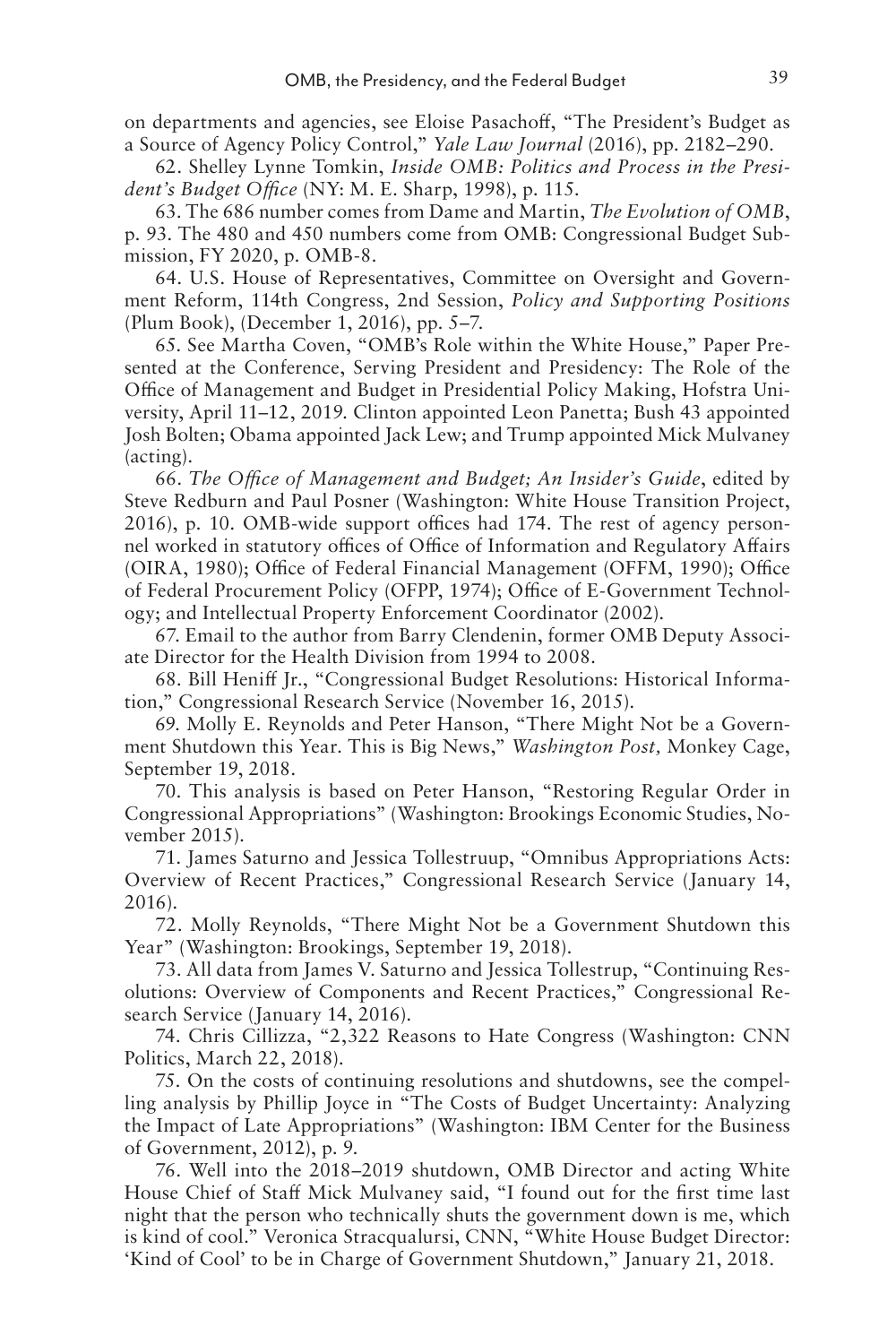on departments and agencies, see Eloise Pasachoff, "The President's Budget as a Source of Agency Policy Control," *Yale Law Journal* (2016), pp. 2182–290.

62. Shelley Lynne Tomkin, *Inside OMB: Politics and Process in the President's Budget Office* (NY: M. E. Sharp, 1998), p. 115.

63. The 686 number comes from Dame and Martin, *The Evolution of OMB*, p. 93. The 480 and 450 numbers come from OMB: Congressional Budget Submission, FY 2020, p. OMB-8.

64. U.S. House of Representatives, Committee on Oversight and Government Reform, 114th Congress, 2nd Session, *Policy and Supporting Positions* (Plum Book), (December 1, 2016), pp. 5–7.

65. See Martha Coven, "OMB's Role within the White House," Paper Presented at the Conference, Serving President and Presidency: The Role of the Office of Management and Budget in Presidential Policy Making, Hofstra University, April 11–12, 2019. Clinton appointed Leon Panetta; Bush 43 appointed Josh Bolten; Obama appointed Jack Lew; and Trump appointed Mick Mulvaney (acting).

66. *The Office of Management and Budget; An Insider's Guide*, edited by Steve Redburn and Paul Posner (Washington: White House Transition Project, 2016), p. 10. OMB-wide support offices had 174. The rest of agency personnel worked in statutory offices of Office of Information and Regulatory Affairs (OIRA, 1980); Office of Federal Financial Management (OFFM, 1990); Office of Federal Procurement Policy (OFPP, 1974); Office of E-Government Technology; and Intellectual Property Enforcement Coordinator (2002).

67. Email to the author from Barry Clendenin, former OMB Deputy Associate Director for the Health Division from 1994 to 2008.

68. Bill Heniff Jr., "Congressional Budget Resolutions: Historical Information," Congressional Research Service (November 16, 2015).

69. Molly E. Reynolds and Peter Hanson, "There Might Not be a Government Shutdown this Year. This is Big News," *Washington Post,* Monkey Cage, September 19, 2018.

70. This analysis is based on Peter Hanson, "Restoring Regular Order in Congressional Appropriations" (Washington: Brookings Economic Studies, November 2015).

71. James Saturno and Jessica Tollestruup, "Omnibus Appropriations Acts: Overview of Recent Practices," Congressional Research Service (January 14, 2016).

72. Molly Reynolds, "There Might Not be a Government Shutdown this Year" (Washington: Brookings, September 19, 2018).

73. All data from James V. Saturno and Jessica Tollestrup, "Continuing Resolutions: Overview of Components and Recent Practices," Congressional Research Service (January 14, 2016).

74. Chris Cillizza, "2,322 Reasons to Hate Congress (Washington: CNN Politics, March 22, 2018).

75. On the costs of continuing resolutions and shutdowns, see the compelling analysis by Phillip Joyce in "The Costs of Budget Uncertainty: Analyzing the Impact of Late Appropriations" (Washington: IBM Center for the Business of Government, 2012), p. 9.

76. Well into the 2018–2019 shutdown, OMB Director and acting White House Chief of Staff Mick Mulvaney said, "I found out for the first time last night that the person who technically shuts the government down is me, which is kind of cool." Veronica Stracqualursi, CNN, "White House Budget Director: 'Kind of Cool' to be in Charge of Government Shutdown," January 21, 2018.